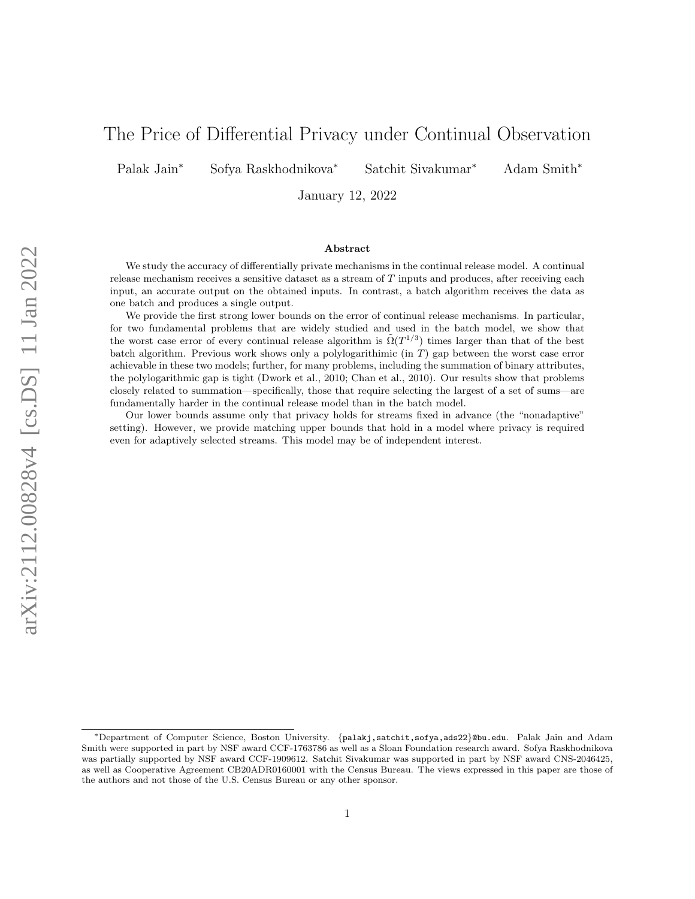# The Price of Differential Privacy under Continual Observation

Palak Jain<sup>∗</sup> Sofya Raskhodnikova<sup>∗</sup> Satchit Sivakumar<sup>∗</sup> Adam Smith<sup>∗</sup>

January 12, 2022

#### Abstract

We study the accuracy of differentially private mechanisms in the continual release model. A continual release mechanism receives a sensitive dataset as a stream of T inputs and produces, after receiving each input, an accurate output on the obtained inputs. In contrast, a batch algorithm receives the data as one batch and produces a single output.

We provide the first strong lower bounds on the error of continual release mechanisms. In particular, for two fundamental problems that are widely studied and used in the batch model, we show that the worst case error of every continual release algorithm is  $\tilde{\Omega}(T^{1/3})$  times larger than that of the best batch algorithm. Previous work shows only a polylogarithimic (in T) gap between the worst case error achievable in these two models; further, for many problems, including the summation of binary attributes, the polylogarithmic gap is tight (Dwork et al., 2010; Chan et al., 2010). Our results show that problems closely related to summation—specifically, those that require selecting the largest of a set of sums—are fundamentally harder in the continual release model than in the batch model.

Our lower bounds assume only that privacy holds for streams fixed in advance (the "nonadaptive" setting). However, we provide matching upper bounds that hold in a model where privacy is required even for adaptively selected streams. This model may be of independent interest.

<sup>∗</sup>Department of Computer Science, Boston University. {palakj,satchit,sofya,ads22}@bu.edu. Palak Jain and Adam Smith were supported in part by NSF award CCF-1763786 as well as a Sloan Foundation research award. Sofya Raskhodnikova was partially supported by NSF award CCF-1909612. Satchit Sivakumar was supported in part by NSF award CNS-2046425, as well as Cooperative Agreement CB20ADR0160001 with the Census Bureau. The views expressed in this paper are those of the authors and not those of the U.S. Census Bureau or any other sponsor.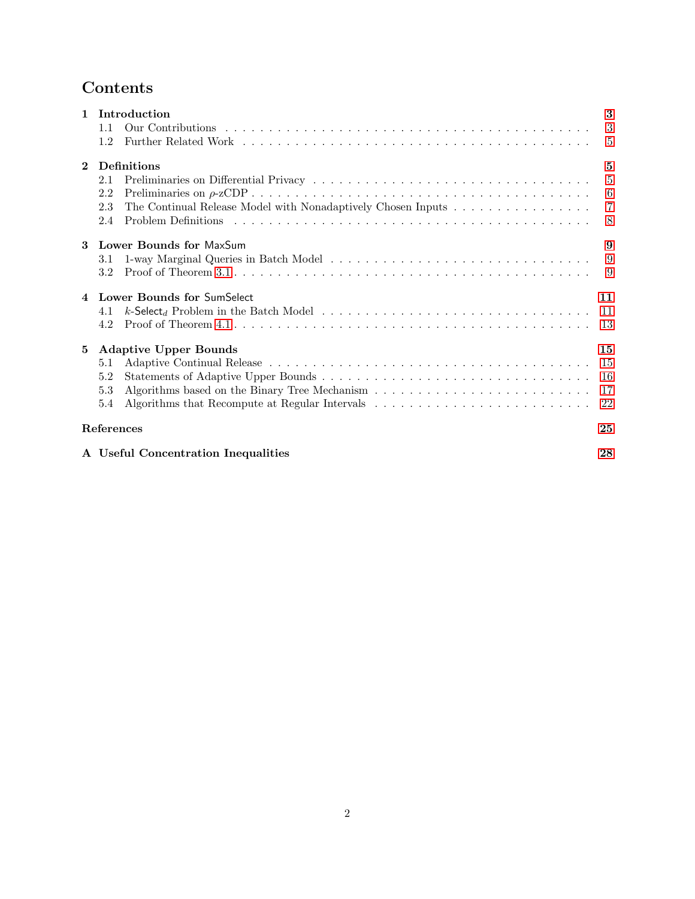# Contents

| $\mathbf{1}$   | Introduction                                                        | 3              |
|----------------|---------------------------------------------------------------------|----------------|
|                | 1.1                                                                 | 3              |
|                | 1.2                                                                 | 5              |
| $\mathbf{2}$   | <b>Definitions</b>                                                  | 5              |
|                | 2.1                                                                 | $\overline{5}$ |
|                | 2.2                                                                 | 6              |
|                | The Continual Release Model with Nonadaptively Chosen Inputs<br>2.3 | $\overline{7}$ |
|                | 2.4                                                                 | 8              |
| 3              | <b>Lower Bounds for MaxSum</b>                                      | 9              |
|                | 3.1                                                                 | 9              |
|                | $3.2\,$                                                             | 9              |
| $\overline{4}$ | Lower Bounds for SumSelect                                          | 11             |
|                | 4.1                                                                 | 11             |
|                | 4.2                                                                 | 13             |
| 5              | <b>Adaptive Upper Bounds</b>                                        | 15             |
|                | 5.1                                                                 | 15             |
|                | 5.2                                                                 | 16             |
|                | 5.3                                                                 | 17             |
|                | 5.4                                                                 | 22             |
|                | <b>References</b>                                                   | 25             |
|                | A Useful Concentration Inequalities                                 | 28             |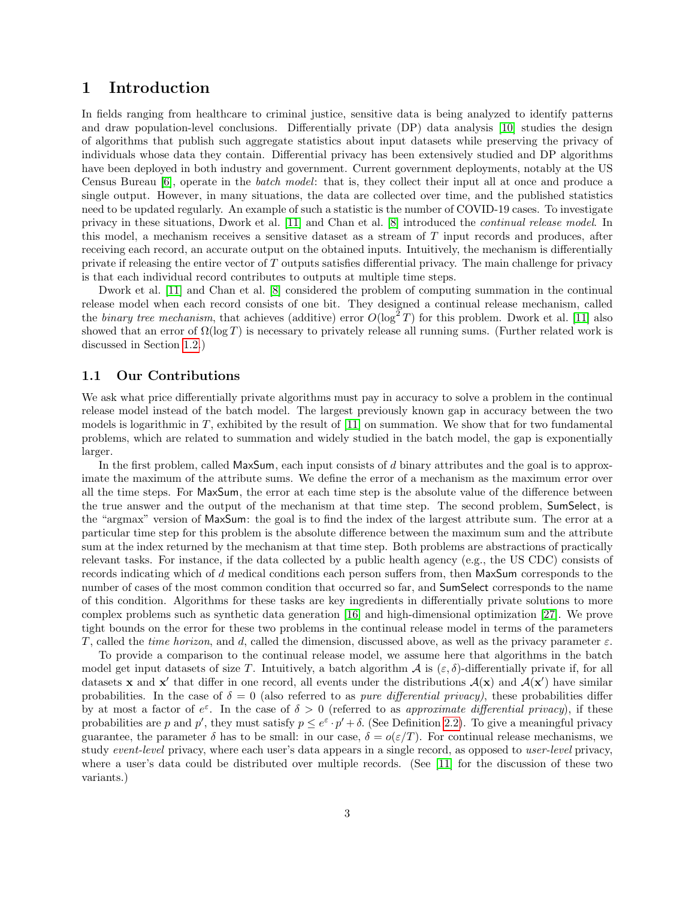### <span id="page-2-0"></span>1 Introduction

In fields ranging from healthcare to criminal justice, sensitive data is being analyzed to identify patterns and draw population-level conclusions. Differentially private (DP) data analysis [\[10\]](#page-25-0) studies the design of algorithms that publish such aggregate statistics about input datasets while preserving the privacy of individuals whose data they contain. Differential privacy has been extensively studied and DP algorithms have been deployed in both industry and government. Current government deployments, notably at the US Census Bureau [\[6\]](#page-25-1), operate in the batch model: that is, they collect their input all at once and produce a single output. However, in many situations, the data are collected over time, and the published statistics need to be updated regularly. An example of such a statistic is the number of COVID-19 cases. To investigate privacy in these situations, Dwork et al. [\[11\]](#page-25-2) and Chan et al. [\[8\]](#page-25-3) introduced the continual release model. In this model, a mechanism receives a sensitive dataset as a stream of T input records and produces, after receiving each record, an accurate output on the obtained inputs. Intuitively, the mechanism is differentially private if releasing the entire vector of  $T$  outputs satisfies differential privacy. The main challenge for privacy is that each individual record contributes to outputs at multiple time steps.

Dwork et al. [\[11\]](#page-25-2) and Chan et al. [\[8\]](#page-25-3) considered the problem of computing summation in the continual release model when each record consists of one bit. They designed a continual release mechanism, called the *binary tree mechanism*, that achieves (additive) error  $O(\log^2 T)$  for this problem. Dwork et al. [\[11\]](#page-25-2) also showed that an error of  $\Omega(\log T)$  is necessary to privately release all running sums. (Further related work is discussed in Section [1.2.](#page-4-0))

#### <span id="page-2-1"></span>1.1 Our Contributions

We ask what price differentially private algorithms must pay in accuracy to solve a problem in the continual release model instead of the batch model. The largest previously known gap in accuracy between the two models is logarithmic in  $T$ , exhibited by the result of [\[11\]](#page-25-2) on summation. We show that for two fundamental problems, which are related to summation and widely studied in the batch model, the gap is exponentially larger.

In the first problem, called MaxSum, each input consists of d binary attributes and the goal is to approximate the maximum of the attribute sums. We define the error of a mechanism as the maximum error over all the time steps. For MaxSum, the error at each time step is the absolute value of the difference between the true answer and the output of the mechanism at that time step. The second problem, SumSelect, is the "argmax" version of MaxSum: the goal is to find the index of the largest attribute sum. The error at a particular time step for this problem is the absolute difference between the maximum sum and the attribute sum at the index returned by the mechanism at that time step. Both problems are abstractions of practically relevant tasks. For instance, if the data collected by a public health agency (e.g., the US CDC) consists of records indicating which of d medical conditions each person suffers from, then MaxSum corresponds to the number of cases of the most common condition that occurred so far, and SumSelect corresponds to the name of this condition. Algorithms for these tasks are key ingredients in differentially private solutions to more complex problems such as synthetic data generation [\[16\]](#page-25-4) and high-dimensional optimization [\[27\]](#page-26-0). We prove tight bounds on the error for these two problems in the continual release model in terms of the parameters T, called the time horizon, and d, called the dimension, discussed above, as well as the privacy parameter  $\varepsilon$ .

To provide a comparison to the continual release model, we assume here that algorithms in the batch model get input datasets of size T. Intuitively, a batch algorithm  $\mathcal A$  is  $(\varepsilon, \delta)$ -differentially private if, for all datasets **x** and **x'** that differ in one record, all events under the distributions  $A(x)$  and  $A(x')$  have similar probabilities. In the case of  $\delta = 0$  (also referred to as *pure differential privacy*), these probabilities differ by at most a factor of  $e^{\varepsilon}$ . In the case of  $\delta > 0$  (referred to as approximate differential privacy), if these probabilities are p and p', they must satisfy  $p \le e^{\varepsilon} \cdot p' + \delta$ . (See Definition [2.2\)](#page-4-3). To give a meaningful privacy guarantee, the parameter  $\delta$  has to be small: in our case,  $\delta = o(\varepsilon/T)$ . For continual release mechanisms, we study event-level privacy, where each user's data appears in a single record, as opposed to user-level privacy, where a user's data could be distributed over multiple records. (See [\[11\]](#page-25-2) for the discussion of these two variants.)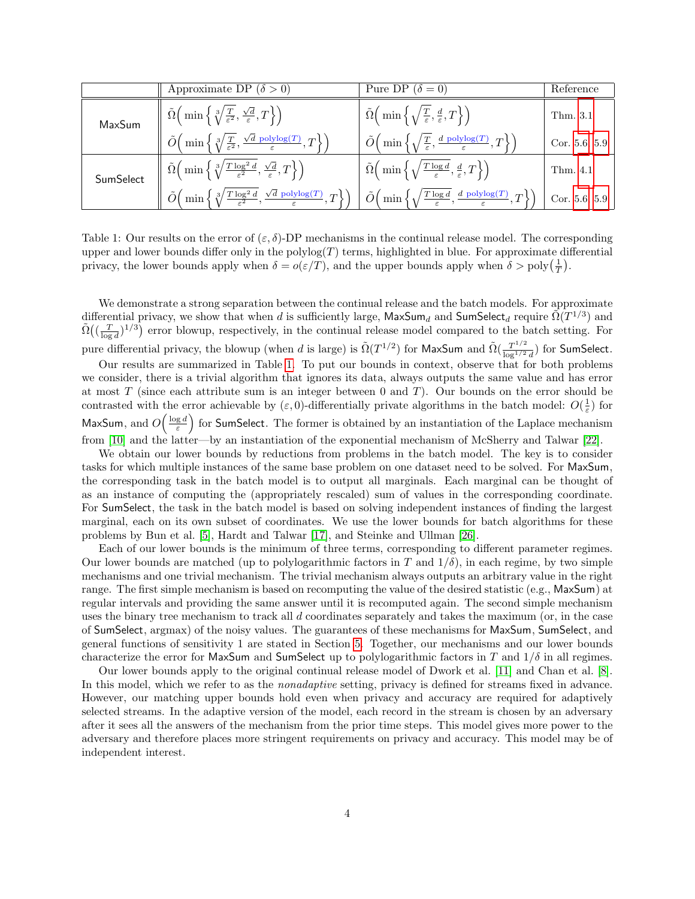|           | Approximate DP $(\delta > 0)$                                                                                                            | Pure DP $(\delta = 0)$                                                                                                       | Reference     |
|-----------|------------------------------------------------------------------------------------------------------------------------------------------|------------------------------------------------------------------------------------------------------------------------------|---------------|
| MaxSum    | $\tilde{\Omega}\left(\min\left\{\sqrt[3]{\frac{T}{\varepsilon^2}},\frac{\sqrt{d}}{\varepsilon},T\right\}\right)$                         | $\tilde{\Omega}\Big(\min\Big\{\sqrt{\frac{T}{\varepsilon}},\frac{d}{\varepsilon},T\Big\}\Big).$                              | Thm. 3.1      |
|           | $\tilde{O}\left(\min\left\{\sqrt[3]{\frac{T}{\varepsilon^2}},\frac{\sqrt{d} \text{ polylog}(T)}{\varepsilon},T\right\}\right)$           | $\tilde{O}\Big(\min\Big\{\sqrt{\frac{T}{\varepsilon}},\frac{d\text{ polylog}(T)}{\varepsilon},T\Big\}\Big)$                  | Cor. 5.6, 5.9 |
| SumSelect | $\tilde{\Omega}\left(\min\left\{\sqrt[3]{\frac{T\log^2 d}{\varepsilon^2}},\frac{\sqrt{d}}{\varepsilon},T\right\}\right)$                 | $\left\{ \Omega \left( \min \left\{ \sqrt{\frac{T \log d}{\varepsilon}}, \frac{d}{\varepsilon}, T \right\} \right) \right\}$ | Thm. 4.1      |
|           | $\tilde{O}\left(\min\left\{\sqrt[3]{\frac{T\log^2 d}{\varepsilon^2}}, \frac{\sqrt{d} \text{ polylog}(T)}{\varepsilon}, T\right\}\right)$ | $\tilde{O}\left(\min\left\{\sqrt{\frac{T\log d}{\varepsilon}},\frac{d\text{ polylog}(T)}{\varepsilon},T\right\}\right)$      | Cor. 5.6, 5.9 |

<span id="page-3-0"></span>Table 1: Our results on the error of  $(\varepsilon, \delta)$ -DP mechanisms in the continual release model. The corresponding upper and lower bounds differ only in the polylog $(T)$  terms, highlighted in blue. For approximate differential privacy, the lower bounds apply when  $\delta = o(\varepsilon/T)$ , and the upper bounds apply when  $\delta > \text{poly}\left(\frac{1}{T}\right)$ .

We demonstrate a strong separation between the continual release and the batch models. For approximate differential privacy, we show that when d is sufficiently large,  $\mathsf{MaxSum}_d$  and  $\mathsf{SumSelect}_d$  require  $\tilde{\Omega}(T^{1/3})$  and  $\tilde{\Omega}((\frac{T}{\log d})^{1/3})$  error blowup, respectively, in the continual release model compared to the batch setting. For pure differential privacy, the blowup (when d is large) is  $\tilde{\Omega}(T^{1/2})$  for MaxSum and  $\tilde{\Omega}(\frac{T^{1/2}}{\log T^{1/2}})$  $\frac{T^{1/2}}{\log^{1/2} d}$ ) for SumSelect.

Our results are summarized in Table [1.](#page-3-0) To put our bounds in context, observe that for both problems we consider, there is a trivial algorithm that ignores its data, always outputs the same value and has error at most  $T$  (since each attribute sum is an integer between 0 and  $T$ ). Our bounds on the error should be contrasted with the error achievable by  $(\varepsilon, 0)$ -differentially private algorithms in the batch model:  $O(\frac{1}{\varepsilon})$  for MaxSum, and  $O(\frac{\log d}{\varepsilon})$  for SumSelect. The former is obtained by an instantiation of the Laplace mechanism from [\[10\]](#page-25-0) and the latter—by an instantiation of the exponential mechanism of McSherry and Talwar [\[22\]](#page-26-1).

We obtain our lower bounds by reductions from problems in the batch model. The key is to consider tasks for which multiple instances of the same base problem on one dataset need to be solved. For MaxSum, the corresponding task in the batch model is to output all marginals. Each marginal can be thought of as an instance of computing the (appropriately rescaled) sum of values in the corresponding coordinate. For SumSelect, the task in the batch model is based on solving independent instances of finding the largest marginal, each on its own subset of coordinates. We use the lower bounds for batch algorithms for these problems by Bun et al. [\[5\]](#page-24-1), Hardt and Talwar [\[17\]](#page-25-5), and Steinke and Ullman [\[26\]](#page-26-2).

Each of our lower bounds is the minimum of three terms, corresponding to different parameter regimes. Our lower bounds are matched (up to polylogarithmic factors in T and  $1/\delta$ ), in each regime, by two simple mechanisms and one trivial mechanism. The trivial mechanism always outputs an arbitrary value in the right range. The first simple mechanism is based on recomputing the value of the desired statistic (e.g., MaxSum) at regular intervals and providing the same answer until it is recomputed again. The second simple mechanism uses the binary tree mechanism to track all d coordinates separately and takes the maximum (or, in the case of SumSelect, argmax) of the noisy values. The guarantees of these mechanisms for MaxSum, SumSelect, and general functions of sensitivity 1 are stated in Section [5.](#page-14-0) Together, our mechanisms and our lower bounds characterize the error for MaxSum and SumSelect up to polylogarithmic factors in T and  $1/\delta$  in all regimes.

Our lower bounds apply to the original continual release model of Dwork et al. [\[11\]](#page-25-2) and Chan et al. [\[8\]](#page-25-3). In this model, which we refer to as the *nonadaptive* setting, privacy is defined for streams fixed in advance. However, our matching upper bounds hold even when privacy and accuracy are required for adaptively selected streams. In the adaptive version of the model, each record in the stream is chosen by an adversary after it sees all the answers of the mechanism from the prior time steps. This model gives more power to the adversary and therefore places more stringent requirements on privacy and accuracy. This model may be of independent interest.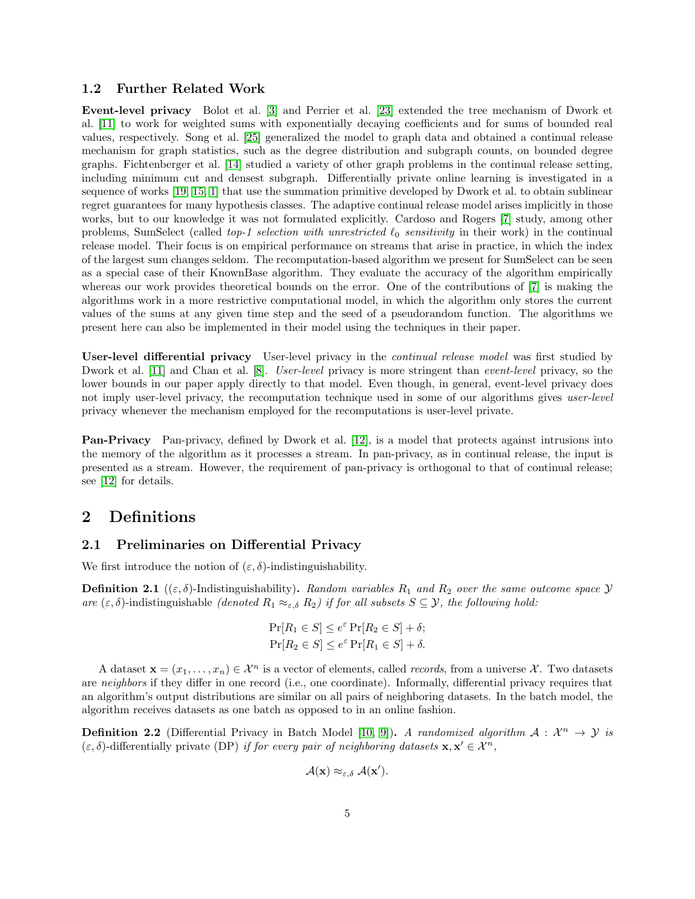#### <span id="page-4-0"></span>1.2 Further Related Work

Event-level privacy Bolot et al. [\[3\]](#page-24-2) and Perrier et al. [\[23\]](#page-26-3) extended the tree mechanism of Dwork et al. [\[11\]](#page-25-2) to work for weighted sums with exponentially decaying coefficients and for sums of bounded real values, respectively. Song et al. [\[25\]](#page-26-4) generalized the model to graph data and obtained a continual release mechanism for graph statistics, such as the degree distribution and subgraph counts, on bounded degree graphs. Fichtenberger et al. [\[14\]](#page-25-6) studied a variety of other graph problems in the continual release setting, including minimum cut and densest subgraph. Differentially private online learning is investigated in a sequence of works [\[19,](#page-26-5) [15,](#page-25-7) [1\]](#page-24-3) that use the summation primitive developed by Dwork et al. to obtain sublinear regret guarantees for many hypothesis classes. The adaptive continual release model arises implicitly in those works, but to our knowledge it was not formulated explicitly. Cardoso and Rogers [\[7\]](#page-25-8) study, among other problems, SumSelect (called top-1 selection with unrestricted  $\ell_0$  sensitivity in their work) in the continual release model. Their focus is on empirical performance on streams that arise in practice, in which the index of the largest sum changes seldom. The recomputation-based algorithm we present for SumSelect can be seen as a special case of their KnownBase algorithm. They evaluate the accuracy of the algorithm empirically whereas our work provides theoretical bounds on the error. One of the contributions of [\[7\]](#page-25-8) is making the algorithms work in a more restrictive computational model, in which the algorithm only stores the current values of the sums at any given time step and the seed of a pseudorandom function. The algorithms we present here can also be implemented in their model using the techniques in their paper.

User-level differential privacy User-level privacy in the *continual release model* was first studied by Dwork et al. [\[11\]](#page-25-2) and Chan et al. [\[8\]](#page-25-3). *User-level* privacy is more stringent than *event-level* privacy, so the lower bounds in our paper apply directly to that model. Even though, in general, event-level privacy does not imply user-level privacy, the recomputation technique used in some of our algorithms gives user-level privacy whenever the mechanism employed for the recomputations is user-level private.

**Pan-Privacy** Pan-privacy, defined by Dwork et al. [\[12\]](#page-25-9), is a model that protects against intrusions into the memory of the algorithm as it processes a stream. In pan-privacy, as in continual release, the input is presented as a stream. However, the requirement of pan-privacy is orthogonal to that of continual release; see [\[12\]](#page-25-9) for details.

### <span id="page-4-1"></span>2 Definitions

#### <span id="page-4-2"></span>2.1 Preliminaries on Differential Privacy

We first introduce the notion of  $(\varepsilon, \delta)$ -indistinguishability.

**Definition 2.1** (( $\varepsilon$ ,  $\delta$ )-Indistinguishability). Random variables  $R_1$  and  $R_2$  over the same outcome space  $\mathcal Y$ are  $(\varepsilon, \delta)$ -indistinguishable (denoted  $R_1 \approx_{\varepsilon, \delta} R_2$ ) if for all subsets  $S \subseteq \mathcal{Y}$ , the following hold:

$$
\Pr[R_1 \in S] \le e^{\varepsilon} \Pr[R_2 \in S] + \delta;
$$
  

$$
\Pr[R_2 \in S] \le e^{\varepsilon} \Pr[R_1 \in S] + \delta.
$$

A dataset  $\mathbf{x} = (x_1, \ldots, x_n) \in \mathcal{X}^n$  is a vector of elements, called *records*, from a universe X. Two datasets are neighbors if they differ in one record (i.e., one coordinate). Informally, differential privacy requires that an algorithm's output distributions are similar on all pairs of neighboring datasets. In the batch model, the algorithm receives datasets as one batch as opposed to in an online fashion.

<span id="page-4-3"></span>**Definition 2.2** (Differential Privacy in Batch Model [\[10,](#page-25-0) [9\]](#page-25-10)). A randomized algorithm  $A: \mathcal{X}^n \to \mathcal{Y}$  is  $(\varepsilon, \delta)$ -differentially private (DP) if for every pair of neighboring datasets  $\mathbf{x}, \mathbf{x}' \in \mathcal{X}^n$ ,

$$
\mathcal{A}(\mathbf{x}) \approx_{\varepsilon,\delta} \mathcal{A}(\mathbf{x}').
$$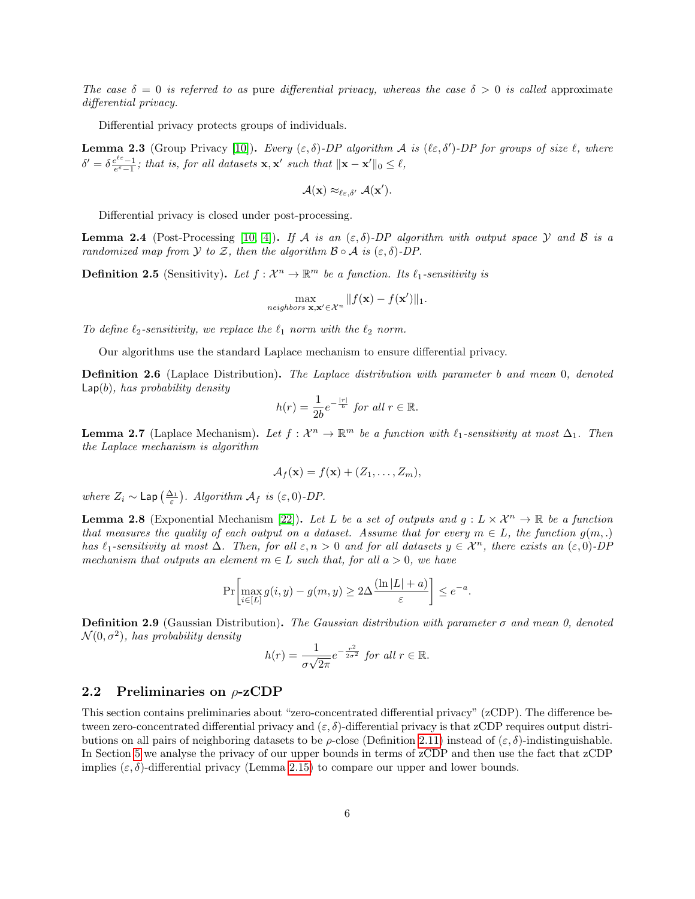The case  $\delta = 0$  is referred to as pure differential privacy, whereas the case  $\delta > 0$  is called approximate differential privacy.

Differential privacy protects groups of individuals.

<span id="page-5-2"></span>**Lemma 2.3** (Group Privacy [\[10\]](#page-25-0)). Every  $(\varepsilon, \delta)$ -DP algorithm A is  $(\ell \varepsilon, \delta')$ -DP for groups of size  $\ell$ , where  $\delta' = \delta \frac{e^{\ell \varepsilon} - 1}{e^{\varepsilon} - 1}$ ; that is, for all datasets **x**, **x'** such that  $\|\mathbf{x} - \mathbf{x}'\|_0 \leq \ell$ ,

$$
\mathcal{A}(\mathbf{x}) \approx_{\ell \varepsilon, \delta'} \mathcal{A}(\mathbf{x}').
$$

Differential privacy is closed under post-processing.

<span id="page-5-1"></span>**Lemma 2.4** (Post-Processing [\[10,](#page-25-0) [4\]](#page-24-4)). If A is an  $(\varepsilon, \delta)$ -DP algorithm with output space Y and B is a randomized map from Y to Z, then the algorithm  $\mathcal{B} \circ \mathcal{A}$  is  $(\varepsilon, \delta)$ -DP.

**Definition 2.5** (Sensitivity). Let  $f: \mathcal{X}^n \to \mathbb{R}^m$  be a function. Its  $\ell_1$ -sensitivity is

$$
\max_{neighbors \mathbf{x}, \mathbf{x}' \in \mathcal{X}^n} \|f(\mathbf{x}) - f(\mathbf{x}')\|_1.
$$

To define  $\ell_2$ -sensitivity, we replace the  $\ell_1$  norm with the  $\ell_2$  norm.

Our algorithms use the standard Laplace mechanism to ensure differential privacy.

Definition 2.6 (Laplace Distribution). The Laplace distribution with parameter b and mean 0, denoted  $\textsf{Lap}(b)$ , has probability density

$$
h(r) = \frac{1}{2b}e^{-\frac{|r|}{b}} \text{ for all } r \in \mathbb{R}.
$$

**Lemma 2.7** (Laplace Mechanism). Let  $f: \mathcal{X}^n \to \mathbb{R}^m$  be a function with  $\ell_1$ -sensitivity at most  $\Delta_1$ . Then the Laplace mechanism is algorithm

$$
\mathcal{A}_f(\mathbf{x}) = f(\mathbf{x}) + (Z_1, \dots, Z_m),
$$

where  $Z_i \sim \text{Lap} \left( \frac{\Delta_1}{\varepsilon} \right)$ . Algorithm  $\mathcal{A}_f$  is  $(\varepsilon, 0)$ -DP.

<span id="page-5-3"></span>**Lemma 2.8** (Exponential Mechanism [\[22\]](#page-26-1)). Let L be a set of outputs and  $g: L \times \mathcal{X}^n \to \mathbb{R}$  be a function that measures the quality of each output on a dataset. Assume that for every  $m \in L$ , the function  $q(m,.)$ has  $\ell_1$ -sensitivity at most  $\Delta$ . Then, for all  $\varepsilon, n > 0$  and for all datasets  $y \in \mathcal{X}^n$ , there exists an  $(\varepsilon, 0)$ -DP mechanism that outputs an element  $m \in L$  such that, for all  $a > 0$ , we have

$$
\Pr\biggl[\max_{i\in[L]} g(i,y)-g(m,y)\geq 2\Delta\frac{(\ln|L|+a)}{\varepsilon}\biggr]\leq e^{-a}.
$$

**Definition 2.9** (Gaussian Distribution). The Gaussian distribution with parameter  $\sigma$  and mean 0, denoted  $\mathcal{N}(0, \sigma^2)$ , has probability density

$$
h(r) = \frac{1}{\sigma\sqrt{2\pi}}e^{-\frac{r^2}{2\sigma^2}} \text{ for all } r \in \mathbb{R}.
$$

#### <span id="page-5-0"></span>2.2 Preliminaries on  $\rho$ -zCDP

This section contains preliminaries about "zero-concentrated differential privacy" (zCDP). The difference between zero-concentrated differential privacy and  $(\varepsilon, \delta)$ -differential privacy is that zCDP requires output distributions on all pairs of neighboring datasets to be  $\rho$ -close (Definition [2.11\)](#page-6-1) instead of  $(\varepsilon, \delta)$ -indistinguishable. In Section [5](#page-14-0) we analyse the privacy of our upper bounds in terms of zCDP and then use the fact that zCDP implies  $(\varepsilon, \delta)$ -differential privacy (Lemma [2.15\)](#page-6-2) to compare our upper and lower bounds.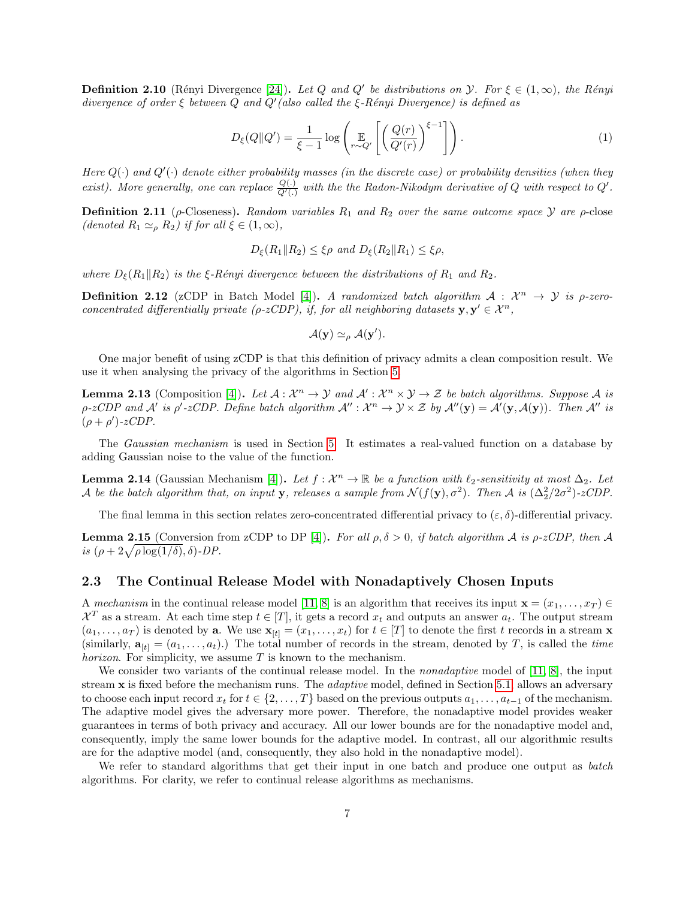**Definition 2.10** (Rényi Divergence [\[24\]](#page-26-6)). Let Q and Q' be distributions on  $\mathcal{Y}$ . For  $\xi \in (1,\infty)$ , the Rényi divergence of order  $\xi$  between  $Q$  and  $Q'$  (also called the  $\xi$ -Rényi Divergence) is defined as

$$
D_{\xi}(Q||Q') = \frac{1}{\xi - 1} \log \left( \mathbb{E}_{r \sim Q'} \left[ \left( \frac{Q(r)}{Q'(r)} \right)^{\xi - 1} \right] \right). \tag{1}
$$

Here  $Q(\cdot)$  and  $Q'(\cdot)$  denote either probability masses (in the discrete case) or probability densities (when they exist). More generally, one can replace  $\frac{Q(.)}{Q'(.)}$  with the the Radon-Nikodym derivative of Q with respect to Q'.

<span id="page-6-1"></span>**Definition 2.11** ( $\rho$ -Closeness). Random variables  $R_1$  and  $R_2$  over the same outcome space  $\mathcal Y$  are  $\rho$ -close (denoted  $R_1 \simeq_{\rho} R_2$ ) if for all  $\xi \in (1, \infty)$ ,

$$
D_{\xi}(R_1||R_2) \leq \xi \rho \text{ and } D_{\xi}(R_2||R_1) \leq \xi \rho,
$$

where  $D_{\xi}(R_1||R_2)$  is the  $\xi$ -Rényi divergence between the distributions of  $R_1$  and  $R_2$ .

**Definition 2.12** (zCDP in Batch Model [\[4\]](#page-24-4)). A randomized batch algorithm  $A: \mathcal{X}^n \to \mathcal{Y}$  is  $\rho$ -zeroconcentrated differentially private ( $\rho$ -zCDP), if, for all neighboring datasets  $y, y' \in \mathcal{X}^n$ ,

$$
\mathcal{A}(\mathbf{y}) \simeq_{\rho} \mathcal{A}(\mathbf{y}').
$$

One major benefit of using zCDP is that this definition of privacy admits a clean composition result. We use it when analysing the privacy of the algorithms in Section [5.](#page-14-0)

<span id="page-6-3"></span>**Lemma 2.13** (Composition [\[4\]](#page-24-4)). Let  $A: \mathcal{X}^n \to \mathcal{Y}$  and  $\mathcal{A}': \mathcal{X}^n \times \mathcal{Y} \to \mathcal{Z}$  be batch algorithms. Suppose A is  $\rho$ -zCDP and A' is  $\rho'$ -zCDP. Define batch algorithm  $\mathcal{A}'' : \mathcal{X}^n \to \mathcal{Y} \times \mathcal{Z}$  by  $\mathcal{A}''(\mathbf{y}) = \mathcal{A}'(\mathbf{y}, \mathcal{A}(\mathbf{y}))$ . Then  $\mathcal{A}''$  is  $(\rho + \rho')$ -zCDP.

The Gaussian mechanism is used in Section [5.](#page-14-0) It estimates a real-valued function on a database by adding Gaussian noise to the value of the function.

<span id="page-6-4"></span>**Lemma 2.14** (Gaussian Mechanism [\[4\]](#page-24-4)). Let  $f: \mathcal{X}^n \to \mathbb{R}$  be a function with  $\ell_2$ -sensitivity at most  $\Delta_2$ . Let A be the batch algorithm that, on input **y**, releases a sample from  $\mathcal{N}(f(\mathbf{y}), \sigma^2)$ . Then A is  $(\Delta_2^2/2\sigma^2)$ -zCDP.

The final lemma in this section relates zero-concentrated differential privacy to  $(\varepsilon, \delta)$ -differential privacy.

<span id="page-6-2"></span>**Lemma 2.15** (Conversion from zCDP to DP [\[4\]](#page-24-4)). For all  $\rho, \delta > 0$ , if batch algorithm A is  $\rho$ -zCDP, then A is  $(\rho + 2\sqrt{\rho \log(1/\delta)}, \delta)$ -DP.

#### <span id="page-6-0"></span>2.3 The Continual Release Model with Nonadaptively Chosen Inputs

A mechanism in the continual release model [\[11,](#page-25-2) [8\]](#page-25-3) is an algorithm that receives its input  $\mathbf{x} = (x_1, \ldots, x_T) \in$  $\mathcal{X}^T$  as a stream. At each time step  $t \in [T]$ , it gets a record  $x_t$  and outputs an answer  $a_t$ . The output stream  $(a_1, \ldots, a_T)$  is denoted by **a**. We use  $\mathbf{x}_{[t]} = (x_1, \ldots, x_t)$  for  $t \in [T]$  to denote the first t records in a stream **x** (similarly,  $\mathbf{a}_{[t]} = (a_1, \ldots, a_t)$ .) The total number of records in the stream, denoted by T, is called the time *horizon*. For simplicity, we assume  $T$  is known to the mechanism.

We consider two variants of the continual release model. In the *nonadaptive* model of  $[11, 8]$  $[11, 8]$ , the input stream x is fixed before the mechanism runs. The *adaptive* model, defined in Section [5.1,](#page-14-1) allows an adversary to choose each input record  $x_t$  for  $t \in \{2, \ldots, T\}$  based on the previous outputs  $a_1, \ldots, a_{t-1}$  of the mechanism. The adaptive model gives the adversary more power. Therefore, the nonadaptive model provides weaker guarantees in terms of both privacy and accuracy. All our lower bounds are for the nonadaptive model and, consequently, imply the same lower bounds for the adaptive model. In contrast, all our algorithmic results are for the adaptive model (and, consequently, they also hold in the nonadaptive model).

We refer to standard algorithms that get their input in one batch and produce one output as *batch* algorithms. For clarity, we refer to continual release algorithms as mechanisms.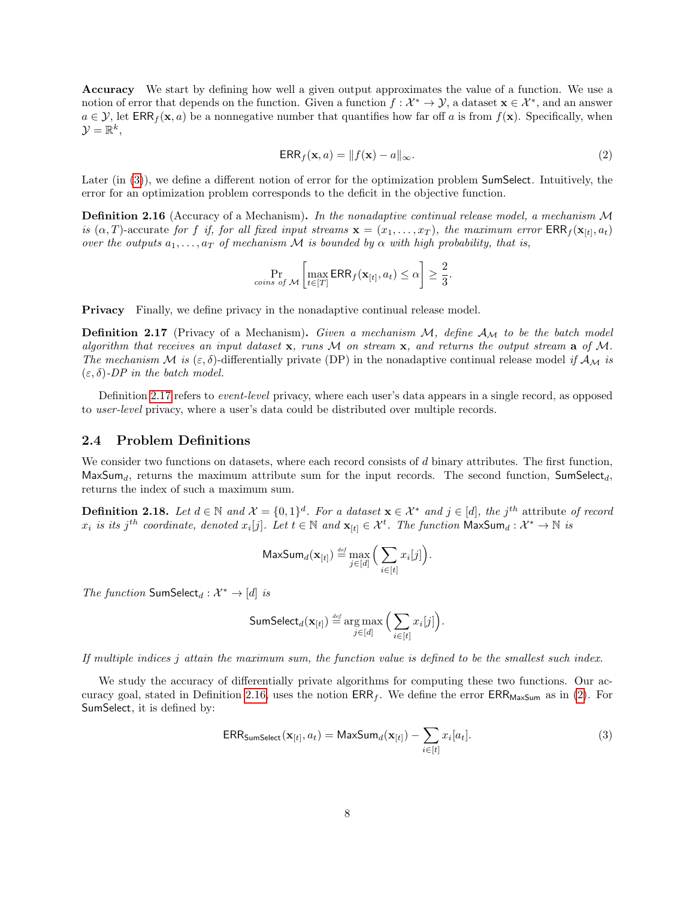Accuracy We start by defining how well a given output approximates the value of a function. We use a notion of error that depends on the function. Given a function  $f: \mathcal{X}^* \to \mathcal{Y}$ , a dataset  $\mathbf{x} \in \mathcal{X}^*$ , and an answer  $a \in \mathcal{Y}$ , let  $\mathsf{ERR}_f(\mathbf{x}, a)$  be a nonnegative number that quantifies how far off a is from  $f(\mathbf{x})$ . Specifically, when  $\mathcal{Y} = \mathbb{R}^k,$ 

<span id="page-7-4"></span>
$$
ERR_f(\mathbf{x}, a) = ||f(\mathbf{x}) - a||_{\infty}.
$$
\n(2)

Later (in [\(3\)](#page-7-1)), we define a different notion of error for the optimization problem **SumSelect**. Intuitively, the error for an optimization problem corresponds to the deficit in the objective function.

<span id="page-7-3"></span>**Definition 2.16** (Accuracy of a Mechanism). In the nonadaptive continual release model, a mechanism M is  $(\alpha, T)$ -accurate for f if, for all fixed input streams  $\mathbf{x} = (x_1, \dots, x_T)$ , the maximum error  $\text{ERR}_f(\mathbf{x}_{[t]}, a_t)$ over the outputs  $a_1, \ldots, a_T$  of mechanism M is bounded by  $\alpha$  with high probability, that is,

$$
\Pr_{\text{cons of } \mathcal{M}}\left[\max_{t \in [T]} \text{ERR}_f(\mathbf{x}_{[t]}, a_t) \le \alpha\right] \ge \frac{2}{3}.
$$

<span id="page-7-2"></span>Privacy Finally, we define privacy in the nonadaptive continual release model.

**Definition 2.17** (Privacy of a Mechanism). Given a mechanism  $M$ , define  $A_M$  to be the batch model algorithm that receives an input dataset  $x$ , runs M on stream  $x$ , and returns the output stream  $a$  of M. The mechanism M is  $(\varepsilon, \delta)$ -differentially private (DP) in the nonadaptive continual release model if  $A_{\mathcal{M}}$  is  $(\varepsilon, \delta)$ -DP in the batch model.

Definition [2.17](#page-7-2) refers to event-level privacy, where each user's data appears in a single record, as opposed to user-level privacy, where a user's data could be distributed over multiple records.

#### <span id="page-7-0"></span>2.4 Problem Definitions

We consider two functions on datasets, where each record consists of  $d$  binary attributes. The first function,  $\mathsf{MaxSum}_d$ , returns the maximum attribute sum for the input records. The second function, SumSelect<sub>d</sub>, returns the index of such a maximum sum.

**Definition 2.18.** Let  $d \in \mathbb{N}$  and  $\mathcal{X} = \{0,1\}^d$ . For a dataset  $\mathbf{x} \in \mathcal{X}^*$  and  $j \in [d]$ , the j<sup>th</sup> attribute of record  $x_i$  is its j<sup>th</sup> coordinate, denoted  $x_i[j]$ . Let  $t \in \mathbb{N}$  and  $\mathbf{x}_{[t]} \in \mathcal{X}^t$ . The function  $\mathsf{MaxSum}_d: \mathcal{X}^* \to \mathbb{N}$  is

$$
\mathsf{MaxSum}_d(\mathbf{x}_{[t]}) \stackrel{\text{\tiny def}}{=} \max_{j \in [d]} \Big( \sum_{i \in [t]} x_i[j] \Big).
$$

The function SumSelect<sub>d</sub> :  $\mathcal{X}^* \to [d]$  is

$$
\mathsf{SumSelect}_d(\mathbf{x}_{[t]}) \stackrel{\text{def}}{=} \argmax_{j \in [d]} \Big( \sum_{i \in [t]} x_i[j] \Big).
$$

If multiple indices j attain the maximum sum, the function value is defined to be the smallest such index.

We study the accuracy of differentially private algorithms for computing these two functions. Our ac-curacy goal, stated in Definition [2.16,](#page-7-3) uses the notion  $ERR_f$ . We define the error  $ERR_{MaxSum}$  as in [\(2\)](#page-7-4). For SumSelect, it is defined by:

<span id="page-7-1"></span>
$$
ERR_{\text{SumSelect}}(\mathbf{x}_{[t]}, a_t) = \text{MaxSum}_d(\mathbf{x}_{[t]}) - \sum_{i \in [t]} x_i [a_t].
$$
\n(3)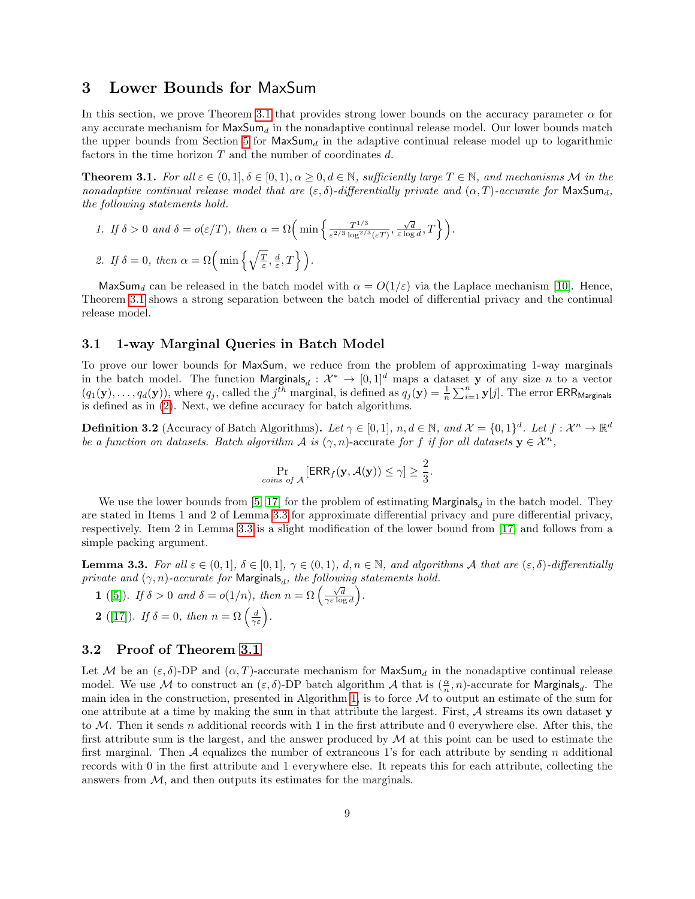### <span id="page-8-0"></span>3 Lower Bounds for MaxSum

In this section, we prove Theorem [3.1](#page-8-2) that provides strong lower bounds on the accuracy parameter  $\alpha$  for any accurate mechanism for  $\text{MaxSum}_d$  in the nonadaptive continual release model. Our lower bounds match the upper bounds from Section [5](#page-14-0) for  $\text{MaxSum}_d$  in the adaptive continual release model up to logarithmic factors in the time horizon  $T$  and the number of coordinates  $d$ .

<span id="page-8-2"></span>**Theorem 3.1.** For all  $\varepsilon \in (0,1], \delta \in [0,1], \alpha > 0, d \in \mathbb{N}$ , sufficiently large  $T \in \mathbb{N}$ , and mechanisms M in the nonadaptive continual release model that are  $(\varepsilon, \delta)$ -differentially private and  $(\alpha, T)$ -accurate for MaxSum<sub>d</sub>, the following statements hold.

1. If 
$$
\delta > 0
$$
 and  $\delta = o(\varepsilon/T)$ , then  $\alpha = \Omega\left(\min\left\{\frac{T^{1/3}}{\varepsilon^{2/3} \log^{2/3}(\varepsilon T)}, \frac{\sqrt{d}}{\varepsilon \log d}, T\right\}\right)$ .  
\n2. If  $\delta = 0$ , then  $\alpha = \Omega\left(\min\left\{\sqrt{\frac{T}{\varepsilon}}, \frac{d}{\varepsilon}, T\right\}\right)$ .

MaxSum<sub>d</sub> can be released in the batch model with  $\alpha = O(1/\varepsilon)$  via the Laplace mechanism [\[10\]](#page-25-0). Hence, Theorem [3.1](#page-8-2) shows a strong separation between the batch model of differential privacy and the continual release model.

#### <span id="page-8-1"></span>3.1 1-way Marginal Queries in Batch Model

To prove our lower bounds for MaxSum, we reduce from the problem of approximating 1-way marginals in the batch model. The function  $Marginals_d: \mathcal{X}^* \to [0,1]^d$  maps a dataset y of any size n to a vector  $(q_1(\mathbf{y}), \ldots, q_d(\mathbf{y}))$ , where  $q_j$ , called the  $j^{th}$  marginal, is defined as  $q_j(\mathbf{y}) = \frac{1}{n} \sum_{i=1}^n \mathbf{y}[j]$ . The error ERR<sub>Marginals</sub> is defined as in [\(2\)](#page-7-4). Next, we define accuracy for batch algorithms.

<span id="page-8-5"></span>**Definition 3.2** (Accuracy of Batch Algorithms). Let  $\gamma \in [0,1]$ ,  $n, d \in \mathbb{N}$ , and  $\mathcal{X} = \{0,1\}^d$ . Let  $f: \mathcal{X}^n \to \mathbb{R}^d$ be a function on datasets. Batch algorithm A is  $(\gamma, n)$ -accurate for f if for all datasets  $y \in \mathcal{X}^n$ ,

$$
\Pr_{\text{coins of } \mathcal{A}}\left[\mathsf{ERR}_f(\mathbf{y}, \mathcal{A}(\mathbf{y})) \le \gamma\right] \ge \frac{2}{3}.
$$

We use the lower bounds from [\[5,](#page-24-1) [17\]](#page-25-5) for the problem of estimating  $Marginals_d$  in the batch model. They are stated in Items 1 and 2 of Lemma [3.3](#page-8-4) for approximate differential privacy and pure differential privacy, respectively. Item 2 in Lemma [3.3](#page-8-4) is a slight modification of the lower bound from [\[17\]](#page-25-5) and follows from a simple packing argument.

<span id="page-8-4"></span>**Lemma 3.3.** For all  $\varepsilon \in (0,1], \delta \in [0,1], \gamma \in (0,1), d, n \in \mathbb{N}$ , and algorithms A that are  $(\varepsilon, \delta)$ -differentially private and  $(\gamma, n)$ -accurate for Marginals<sub>d</sub>, the following statements hold.

1 ([\[5\]](#page-24-1)). If  $\delta > 0$  and  $\delta = o(1/n)$ , then  $n = \Omega\left(\frac{\sqrt{d}}{\gamma \varepsilon \log d}\right)$ . **2** ([\[17\]](#page-25-5)). If  $\delta = 0$ , then  $n = \Omega\left(\frac{d}{\gamma \varepsilon}\right)$ .

#### <span id="page-8-3"></span>3.2 Proof of Theorem [3.1](#page-8-2)

Let M be an  $(\varepsilon, \delta)$ -DP and  $(\alpha, T)$ -accurate mechanism for MaxSum<sub>d</sub> in the nonadaptive continual release model. We use M to construct an  $(\varepsilon, \delta)$ -DP batch algorithm A that is  $(\frac{\alpha}{n}, n)$ -accurate for Marginals<sub>d</sub>. The main idea in the construction, presented in Algorithm [1,](#page-9-0) is to force  $\mathcal M$  to output an estimate of the sum for one attribute at a time by making the sum in that attribute the largest. First, A streams its own dataset y to M. Then it sends n additional records with 1 in the first attribute and 0 everywhere else. After this, the first attribute sum is the largest, and the answer produced by  $\mathcal M$  at this point can be used to estimate the first marginal. Then  $A$  equalizes the number of extraneous 1's for each attribute by sending n additional records with 0 in the first attribute and 1 everywhere else. It repeats this for each attribute, collecting the answers from  $M$ , and then outputs its estimates for the marginals.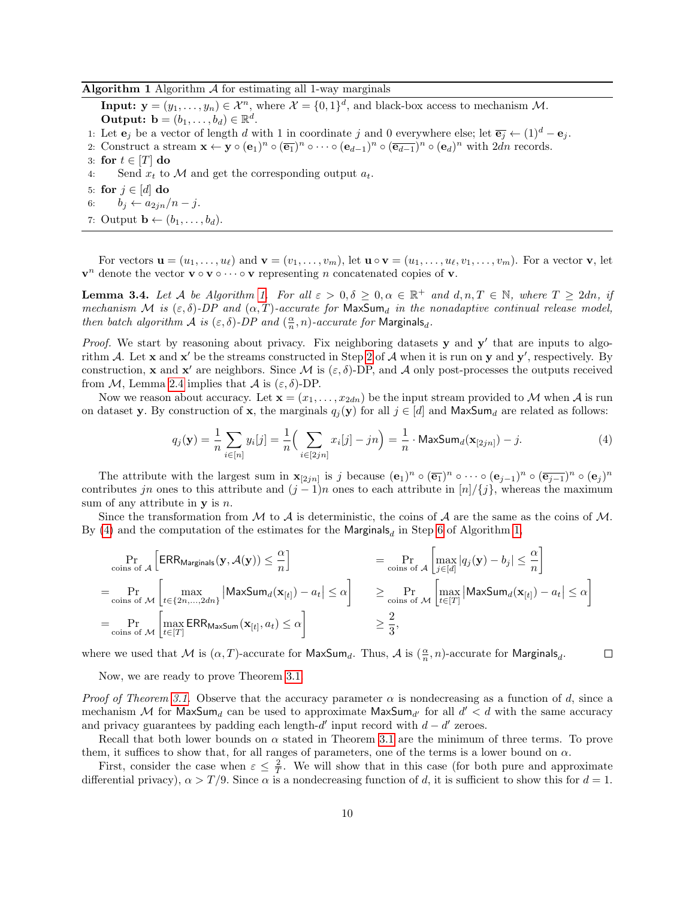#### <span id="page-9-0"></span>Algorithm 1 Algorithm  $\mathcal A$  for estimating all 1-way marginals

**Input:**  $\mathbf{y} = (y_1, \dots, y_n) \in \mathcal{X}^n$ , where  $\mathcal{X} = \{0, 1\}^d$ , and black-box access to mechanism M. **Output:**  $\mathbf{b} = (b_1, \ldots, b_d) \in \mathbb{R}^d$ .

- 1: Let  $\mathbf{e}_i$  be a vector of length d with 1 in coordinate j and 0 everywhere else; let  $\overline{\mathbf{e}_i} \leftarrow (1)^d \mathbf{e}_i$ .
- <span id="page-9-1"></span>2: Construct a stream  $\mathbf{x} \leftarrow \mathbf{y} \circ (\mathbf{e}_1)^n \circ (\overline{\mathbf{e}_1})^n \circ \cdots \circ (\mathbf{e}_{d-1})^n \circ (\overline{\mathbf{e}_{d-1}})^n \circ (\mathbf{e}_d)^n$  with  $2dn$  records.
- 3: for  $t \in [T]$  do
- <span id="page-9-7"></span>4: Send  $x_t$  to M and get the corresponding output  $a_t$ .
- <span id="page-9-6"></span>5: for  $j \in [d]$  do
- <span id="page-9-3"></span>6:  $b_j \leftarrow a_{2jn}/n - j$ .
- <span id="page-9-5"></span>7: Output  $\mathbf{b} \leftarrow (b_1, \ldots, b_d)$ .

For vectors  $\mathbf{u} = (u_1, \ldots, u_\ell)$  and  $\mathbf{v} = (v_1, \ldots, v_m)$ , let  $\mathbf{u} \circ \mathbf{v} = (u_1, \ldots, u_\ell, v_1, \ldots, v_m)$ . For a vector  $\mathbf{v}$ , let  $v^n$  denote the vector  $v \circ v \circ \cdots \circ v$  representing n concatenated copies of v.

<span id="page-9-4"></span>**Lemma 3.4.** Let A be Algorithm [1.](#page-9-0) For all  $\varepsilon > 0, \delta \geq 0, \alpha \in \mathbb{R}^+$  and  $d, n, T \in \mathbb{N}$ , where  $T \geq 2dn$ , if mechanism M is  $(\varepsilon, \delta)$ -DP and  $(\alpha, T)$ -accurate for MaxSum<sub>d</sub> in the nonadaptive continual release model, then batch algorithm  $\mathcal A$  is  $(\varepsilon,\delta)$ -DP and  $(\frac{\alpha}{n},n)$ -accurate for Marginals<sub>d</sub>.

*Proof.* We start by reasoning about privacy. Fix neighboring datasets  $y$  and  $y'$  that are inputs to algorithm A. Let **x** and **x'** be the streams constructed in Step [2](#page-9-1) of A when it is run on **y** and **y'**, respectively. By construction, **x** and **x'** are neighbors. Since M is  $(\varepsilon, \delta)$ -DP, and A only post-processes the outputs received from M, Lemma [2.4](#page-5-1) implies that A is  $(\varepsilon, \delta)$ -DP.

Now we reason about accuracy. Let  $\mathbf{x} = (x_1, \ldots, x_{2dn})$  be the input stream provided to M when A is run on dataset y. By construction of x, the marginals  $q_j(y)$  for all  $j \in [d]$  and MaxSum<sub>d</sub> are related as follows:

<span id="page-9-2"></span>
$$
q_j(\mathbf{y}) = \frac{1}{n} \sum_{i \in [n]} y_i[j] = \frac{1}{n} \Big( \sum_{i \in [2jn]} x_i[j] - jn \Big) = \frac{1}{n} \cdot \text{MaxSum}_d(\mathbf{x}_{[2jn]}) - j. \tag{4}
$$

The attribute with the largest sum in  $\mathbf{x}_{[2jn]}$  is j because  $(\mathbf{e}_1)^n \circ (\overline{\mathbf{e}_1})^n \circ \cdots \circ (\mathbf{e}_{j-1})^n \circ (\overline{\mathbf{e}_{j-1}})^n \circ (\mathbf{e}_j)^n$ contributes jn ones to this attribute and  $(j-1)n$  ones to each attribute in  $[n]/\{j\}$ , whereas the maximum sum of any attribute in  $\bf{v}$  is n.

Since the transformation from  $\mathcal M$  to  $\mathcal A$  is deterministic, the coins of  $\mathcal A$  are the same as the coins of  $\mathcal M$ . By [\(4\)](#page-9-2) and the computation of the estimates for the  $\mathsf{Marginals}_d$  in Step [6](#page-9-3) of Algorithm [1,](#page-9-0)

$$
\Pr_{\text{cois of } \mathcal{A}} \left[ \text{ERRMarginals}(\mathbf{y}, \mathcal{A}(\mathbf{y})) \leq \frac{\alpha}{n} \right] = \Pr_{\text{cois of } \mathcal{A}} \left[ \max_{j \in [d]} |q_j(\mathbf{y}) - b_j| \leq \frac{\alpha}{n} \right]
$$
\n
$$
= \Pr_{\text{cois of } \mathcal{M}} \left[ \max_{t \in \{2n, \dots, 2dn\}} |\text{MaxSum}_d(\mathbf{x}_{[t]}) - a_t| \leq \alpha \right] \geq \Pr_{\text{cois of } \mathcal{M}} \left[ \max_{t \in [T]} |\text{MaxSum}_d(\mathbf{x}_{[t]}) - a_t| \leq \alpha \right]
$$
\n
$$
= \Pr_{\text{cois of } \mathcal{M}} \left[ \max_{t \in [T]} \text{ERR}_{\text{MaxSum}}(\mathbf{x}_{[t]}, a_t) \leq \alpha \right] \geq \frac{2}{3},
$$

where we used that M is  $(\alpha, T)$ -accurate for MaxSum<sub>d</sub>. Thus, A is  $(\frac{\alpha}{n}, n)$ -accurate for Marginals<sub>d</sub>.  $\Box$ 

Now, we are ready to prove Theorem [3.1.](#page-8-2)

Proof of Theorem [3.1.](#page-8-2) Observe that the accuracy parameter  $\alpha$  is nondecreasing as a function of d, since a mechanism M for  $\mathsf{MaxSum}_d$  can be used to approximate  $\mathsf{MaxSum}_{d'}$  for all  $d' < d$  with the same accuracy and privacy guarantees by padding each length- $d'$  input record with  $d - d'$  zeroes.

Recall that both lower bounds on  $\alpha$  stated in Theorem [3.1](#page-8-2) are the minimum of three terms. To prove them, it suffices to show that, for all ranges of parameters, one of the terms is a lower bound on  $\alpha$ .

First, consider the case when  $\varepsilon \leq \frac{2}{T}$ . We will show that in this case (for both pure and approximate differential privacy),  $\alpha > T/9$ . Since  $\alpha$  is a nondecreasing function of d, it is sufficient to show this for  $d = 1$ .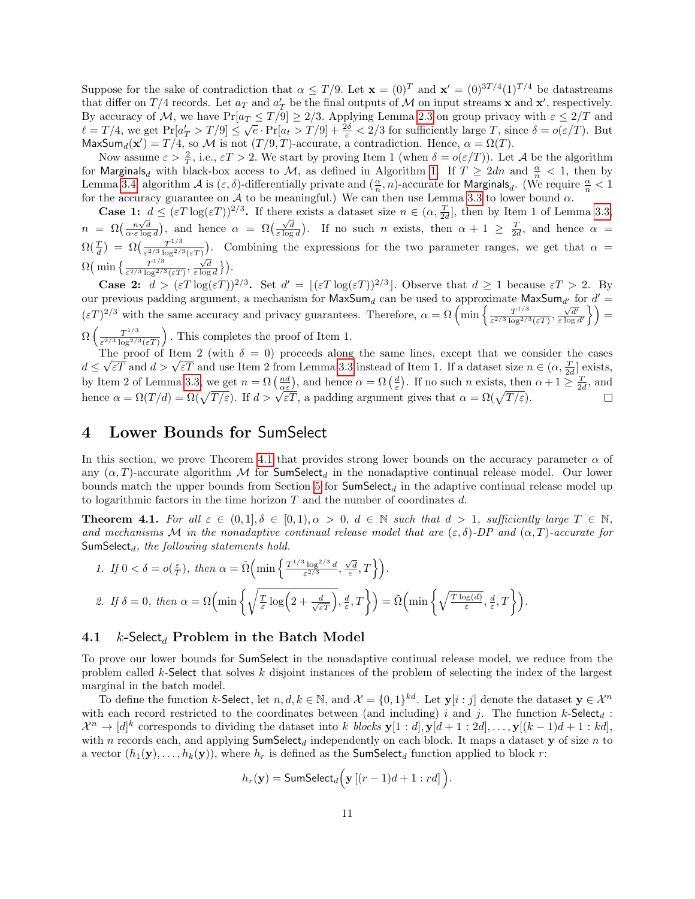Suppose for the sake of contradiction that  $\alpha \leq T/9$ . Let  $\mathbf{x} = (0)^T$  and  $\mathbf{x}' = (0)^{3T/4} (1)^{T/4}$  be datastreams that differ on  $T/4$  records. Let  $a_T$  and  $a'_T$  be the final outputs of M on input streams **x** and **x'**, respectively. By accuracy of M, we have  $Pr[a_T \le T/9] \ge 2/3$ . Applying Lemma [2.3](#page-5-2) on group privacy with  $\varepsilon \le 2/T$  and  $\ell = T/4$ , we get  $Pr[a'_T > T/9] \leq \sqrt{e} \cdot Pr[a_t > T/9] + \frac{2\delta}{\varepsilon} < 2/3$  for sufficiently large T, since  $\delta = o(\varepsilon/T)$ . But MaxSum<sub>d</sub>(x') = T/4, so M is not  $(T/9, T)$ -accurate, a contradiction. Hence,  $\alpha = \Omega(T)$ .

Now assume  $\varepsilon > \frac{2}{T}$ , i.e.,  $\varepsilon T > 2$ . We start by proving Item 1 (when  $\delta = o(\varepsilon/T)$ ). Let A be the algorithm for Marginals<sub>d</sub> with black-box access to M, as defined in Algorithm [1.](#page-9-0) If  $T \geq 2dn$  and  $\frac{\alpha}{n} < 1$ , then by Lemma [3.4,](#page-9-4) algorithm  $\mathcal A$  is  $(\varepsilon, \delta)$ -differentially private and  $(\frac{\alpha}{n}, n)$ -accurate for Marginals<sub>d</sub>. (We require  $\frac{\alpha}{n} < 1$ for the accuracy guarantee on A to be meaningful.) We can then use Lemma [3.3](#page-8-4) to lower bound  $\alpha$ .

**Case 1:**  $d \leq (\varepsilon T \log(\varepsilon T))^{2/3}$ . If there exists a dataset size  $n \in (\alpha, \frac{T}{2d})$ , then by Item 1 of Lemma [3.3,](#page-8-4)  $n = \Omega\left(\frac{n\sqrt{d}}{\alpha \cdot \varepsilon \log d}\right)$ , and hence  $\alpha = \Omega\left(\frac{\sqrt{d}}{\varepsilon \log d}\right)$ . If no such n exists, then  $\alpha + 1 \geq \frac{T}{2d}$ , and hence  $\alpha =$  $\Omega(\frac{T}{d}) \; = \; \Omega\big(\frac{T^{1/3}}{\varepsilon^{2/3} \log^{2/3}}\big)$  $\frac{T^{1/3}}{\epsilon^{2/3} \log^{2/3}(\epsilon T)}$ ). Combining the expressions for the two parameter ranges, we get that  $\alpha =$  $\Omega\left(\min\left\{\frac{T^{1/3}}{c^{2/3}\log^{2/3}}\right\}\right)$  $\frac{T^{1/3}}{\varepsilon^{2/3} \log^{2/3}(\varepsilon T)}, \frac{\sqrt{d}}{\varepsilon \log d}$ }).

**Case 2:**  $d > (\varepsilon T \log(\varepsilon T))^{2/3}$ . Set  $d' = |(\varepsilon T \log(\varepsilon T))^{2/3}|$ . Observe that  $d \ge 1$  because  $\varepsilon T > 2$ . By our previous padding argument, a mechanism for  $MaxSum_d$  can be used to approximate  $MaxSum_{d'}$  for  $d' =$  $(\varepsilon T)^{2/3}$  with the same accuracy and privacy guarantees. Therefore,  $\alpha = \Omega \left( \min \left\{ \frac{T^{1/3}}{e^{2/3} \log(2)} \right\} \right)$  $\frac{T^{1/3}}{\varepsilon^{2/3} \log^{2/3}(\varepsilon T)}, \frac{\sqrt{d'}}{\varepsilon \log d'} \bigg\}$  =  $\Omega\left(\frac{T^{1/3}}{\epsilon^{2/3}\log^{2/3}}\right)$  $\frac{T^{1/3}}{\varepsilon^{2/3} \log^{2/3}(\varepsilon T)}$ . This completes the proof of Item 1.

The proof of Item 2 (with  $\delta = 0$ ) proceeds along the same lines, except that we consider the cases The proof of Item 2 (with  $\delta = 0$ ) proceeds along the same lines, except that we consider the cases  $d \leq \sqrt{\varepsilon T}$  and  $d > \sqrt{\varepsilon T}$  and use Item 2 from Lemma [3.3](#page-8-4) instead of Item 1. If a dataset size  $n \in (\alpha, \frac{T}{2d}]$  exists by Item 2 of Lemma [3.3,](#page-8-4) we get  $n = \Omega\left(\frac{nd}{\alpha \varepsilon}\right)$ , and hence  $\alpha = \Omega\left(\frac{d}{\varepsilon}\right)$ . If no such n exists, then  $\alpha + 1 \ge \frac{T}{2d}$ , and by Henr 2 of Lemma 5.5, we get  $h = \Omega(\frac{\overline{\alpha \varepsilon}}{B})$ , and hence  $\alpha = \Omega(\frac{\varepsilon}{\varepsilon})$ . If ho such h exists, then<br>hence  $\alpha = \Omega(\frac{\overline{T}}{\varepsilon})$ . If  $d > \sqrt{\varepsilon T}$ , a padding argument gives that  $\alpha = \Omega(\sqrt{\overline{T}/\varepsilon})$ .

### <span id="page-10-0"></span>4 Lower Bounds for SumSelect

In this section, we prove Theorem [4.1](#page-10-2) that provides strong lower bounds on the accuracy parameter  $\alpha$  of any  $(\alpha, T)$ -accurate algorithm M for SumSelect<sub>d</sub> in the nonadaptive continual release model. Our lower bounds match the upper bounds from Section [5](#page-14-0) for  $SumSelect_d$  in the adaptive continual release model up to logarithmic factors in the time horizon  $T$  and the number of coordinates  $d$ .

<span id="page-10-2"></span>**Theorem 4.1.** For all  $\varepsilon \in (0,1], \delta \in [0,1), \alpha > 0, d \in \mathbb{N}$  such that  $d > 1$ , sufficiently large  $T \in \mathbb{N}$ , and mechanisms M in the nonadaptive continual release model that are  $(\varepsilon, \delta)$ -DP and  $(\alpha, T)$ -accurate for SumSelect $_d$ , the following statements hold.

1. If 
$$
0 < \delta = o(\frac{\varepsilon}{T})
$$
, then  $\alpha = \tilde{\Omega} \Big( \min \Big\{ \frac{T^{1/3} \log^{2/3} d}{\varepsilon^{2/3}}, \frac{\sqrt{d}}{\varepsilon}, T \Big\} \Big)$ .  
\n2. If  $\delta = 0$ , then  $\alpha = \Omega \Big( \min \Big\{ \sqrt{\frac{T}{\varepsilon} \log \Big( 2 + \frac{d}{\sqrt{\varepsilon T}} \Big)}, \frac{d}{\varepsilon}, T \Big\} \Big) = \tilde{\Omega} \Big( \min \Big\{ \sqrt{\frac{T \log(d)}{\varepsilon}}, \frac{d}{\varepsilon}, T \Big\} \Big)$ .

#### <span id="page-10-1"></span>4.1 *k*-Select<sub>d</sub> Problem in the Batch Model

To prove our lower bounds for SumSelect in the nonadaptive continual release model, we reduce from the problem called k-Select that solves k disjoint instances of the problem of selecting the index of the largest marginal in the batch model.

To define the function k-Select, let  $n, d, k \in \mathbb{N}$ , and  $\mathcal{X} = \{0, 1\}^{kd}$ . Let  $\mathbf{y}[i : j]$  denote the dataset  $\mathbf{y} \in \mathcal{X}^n$ with each record restricted to the coordinates between (and including) i and j. The function k-Select<sub>d</sub>:  $\mathcal{X}^n \to [d]^k$  corresponds to dividing the dataset into k blocks  $\mathbf{y}[1:d, \mathbf{y}[d+1:2d], \ldots, \mathbf{y}[(k-1)d+1:k d],$ with n records each, and applying  $SumSelect_d$  independently on each block. It maps a dataset y of size n to a vector  $(h_1(\mathbf{y}),...,h_k(\mathbf{y}))$ , where  $h_r$  is defined as the **SumSelect**<sub>d</sub> function applied to block r:

$$
h_r(\mathbf{y}) = \mathsf{SumSelect}_d\Big(\mathbf{y} \left[ (r-1)d + 1 : rd \right] \Big).
$$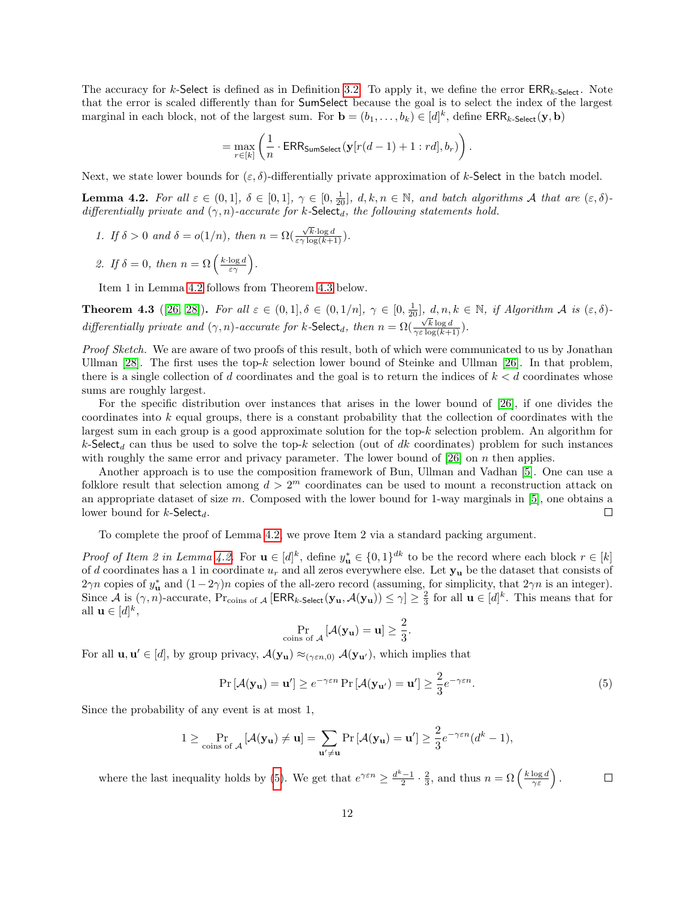The accuracy for k-Select is defined as in Definition [3.2.](#page-8-5) To apply it, we define the error  $\text{ERR}_{k-Select}$ . Note that the error is scaled differently than for SumSelect because the goal is to select the index of the largest marginal in each block, not of the largest sum. For  $\mathbf{b} = (b_1, \ldots, b_k) \in [d]^k$ , define  $\text{ERR}_{k\text{-Select}}(\mathbf{y}, \mathbf{b})$ 

$$
= \max_{r \in [k]} \left( \frac{1}{n} \cdot \mathsf{ERR_{SumSelect}}(\mathbf{y}[r(d-1)+1:r d], b_r) \right).
$$

Next, we state lower bounds for  $(\varepsilon, \delta)$ -differentially private approximation of k-Select in the batch model.

<span id="page-11-0"></span>**Lemma 4.2.** For all  $\varepsilon \in (0,1], \delta \in [0,1], \gamma \in [0,\frac{1}{20}], d, k, n \in \mathbb{N}$ , and batch algorithms A that are  $(\varepsilon, \delta)$ differentially private and  $(\gamma, n)$ -accurate for k-Select<sub>d</sub>, the following statements hold.

- 1. If  $\delta > 0$  and  $\delta = o(1/n)$ , then  $n = \Omega(n)$  $\frac{\sqrt{k}\cdot\log d}{\varepsilon\gamma\log(k+1)}$ ).
- 2. If  $\delta = 0$ , then  $n = \Omega\left(\frac{k \cdot \log d}{\varepsilon \gamma}\right)$ .

Item 1 in Lemma [4.2](#page-11-0) follows from Theorem [4.3](#page-11-1) below.

<span id="page-11-1"></span>**Theorem 4.3** ([\[26,](#page-26-2) [28\]](#page-26-7)). For all  $\varepsilon \in (0,1], \delta \in (0,1/n]$ ,  $\gamma \in [0, \frac{1}{20}]$ ,  $d, n, k \in \mathbb{N}$ , if Algorithm A is  $(\varepsilon, \delta)$ differentially private and  $(\gamma, n)$ -accurate for k-Select<sub>d</sub>, then  $n = \Omega$  $\frac{\sqrt{k} \log d}{\gamma \varepsilon \log (k+1)}$ ).

Proof Sketch. We are aware of two proofs of this result, both of which were communicated to us by Jonathan Ullman [\[28\]](#page-26-7). The first uses the top-k selection lower bound of Steinke and Ullman [\[26\]](#page-26-2). In that problem, there is a single collection of d coordinates and the goal is to return the indices of  $k < d$  coordinates whose sums are roughly largest.

For the specific distribution over instances that arises in the lower bound of [\[26\]](#page-26-2), if one divides the coordinates into k equal groups, there is a constant probability that the collection of coordinates with the largest sum in each group is a good approximate solution for the top- $k$  selection problem. An algorithm for k-Select<sub>d</sub> can thus be used to solve the top-k selection (out of dk coordinates) problem for such instances with roughly the same error and privacy parameter. The lower bound of [\[26\]](#page-26-2) on n then applies.

Another approach is to use the composition framework of Bun, Ullman and Vadhan [\[5\]](#page-24-1). One can use a folklore result that selection among  $d > 2<sup>m</sup>$  coordinates can be used to mount a reconstruction attack on an appropriate dataset of size  $m$ . Composed with the lower bound for 1-way marginals in [\[5\]](#page-24-1), one obtains a lower bound for  $k$ -Select<sub>d</sub>.  $\Box$ 

To complete the proof of Lemma [4.2,](#page-11-0) we prove Item 2 via a standard packing argument.

*Proof of Item 2 in Lemma [4.2.](#page-11-0)* For  $\mathbf{u} \in [d]^k$ , define  $y_{\mathbf{u}}^* \in \{0,1\}^{dk}$  to be the record where each block  $r \in [k]$ of d coordinates has a 1 in coordinate  $u_r$  and all zeros everywhere else. Let  $y_u$  be the dataset that consists of  $2\gamma n$  copies of  $y_{\mathbf{u}}^*$  and  $(1-2\gamma)n$  copies of the all-zero record (assuming, for simplicity, that  $2\gamma n$  is an integer). Since  $\mathcal A$  is  $(\gamma, n)$ -accurate,  $Pr_{\text{coins of }\mathcal A}$  [ERR<sub>k-Select</sub>( $\mathbf{y}_u$ ,  $\mathcal A(\mathbf{y}_u)$ )  $\leq \gamma$ ]  $\geq \frac{2}{3}$  for all  $\mathbf{u} \in [d]^k$ . This means that for all  $\mathbf{u} \in [d]^k$ ,

<span id="page-11-2"></span>
$$
\Pr_{\text{coints of } \mathcal{A}}\left[\mathcal{A}(\mathbf{y_u}) = \mathbf{u}\right] \ge \frac{2}{3}.
$$

For all  $\mathbf{u}, \mathbf{u}' \in [d]$ , by group privacy,  $\mathcal{A}(\mathbf{y}_{\mathbf{u}}) \approx_{(\gamma \in n,0)} \mathcal{A}(\mathbf{y}_{\mathbf{u}'})$ , which implies that

$$
\Pr\left[\mathcal{A}(\mathbf{y}_{\mathbf{u}}) = \mathbf{u}'\right] \ge e^{-\gamma \varepsilon n} \Pr\left[\mathcal{A}(\mathbf{y}_{\mathbf{u}'}) = \mathbf{u}'\right] \ge \frac{2}{3} e^{-\gamma \varepsilon n}.\tag{5}
$$

Since the probability of any event is at most 1,

$$
1 \geq \Pr_{\text{cions of } \mathcal{A}}\left[\mathcal{A}(\mathbf{y}_{\mathbf{u}}) \neq \mathbf{u}\right] = \sum_{\mathbf{u}' \neq \mathbf{u}} \Pr\left[\mathcal{A}(\mathbf{y}_{\mathbf{u}}) = \mathbf{u}'\right] \geq \frac{2}{3} e^{-\gamma \varepsilon n} (d^k - 1),
$$

where the last inequality holds by [\(5\)](#page-11-2). We get that  $e^{\gamma \varepsilon n} \geq \frac{d^k-1}{2} \cdot \frac{2}{3}$ , and thus  $n = \Omega\left(\frac{k \log d}{\gamma \varepsilon}\right)$ .  $\Box$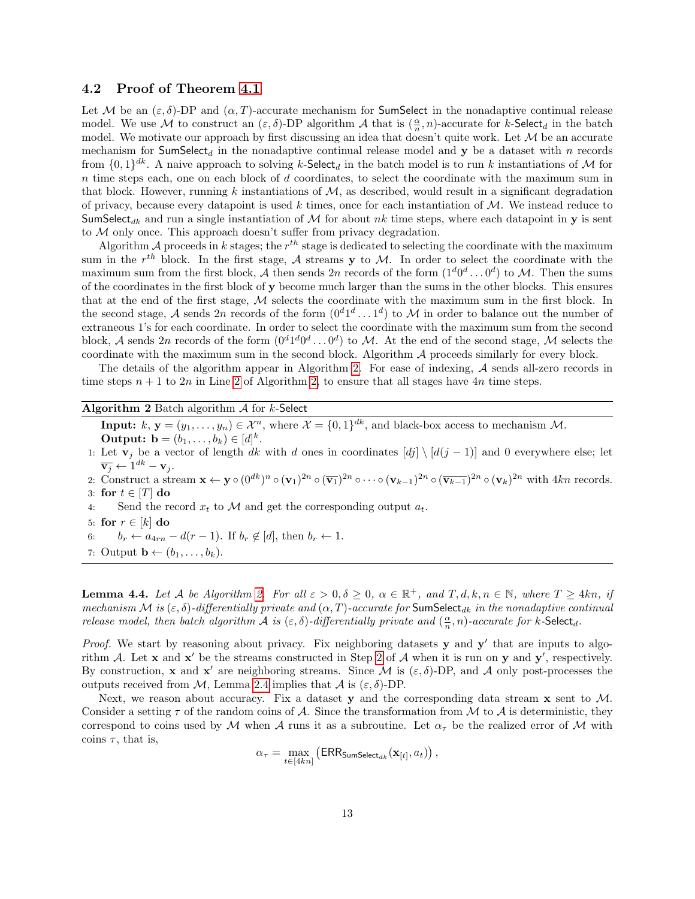#### <span id="page-12-0"></span>4.2 Proof of Theorem [4.1](#page-10-2)

Let M be an  $(\varepsilon, \delta)$ -DP and  $(\alpha, T)$ -accurate mechanism for **SumSelect** in the nonadaptive continual release model. We use M to construct an  $(\varepsilon, \delta)$ -DP algorithm A that is  $(\frac{\alpha}{n}, n)$ -accurate for k-Select<sub>d</sub> in the batch model. We motivate our approach by first discussing an idea that doesn't quite work. Let  $M$  be an accurate mechanism for SumSelect<sub>d</sub> in the nonadaptive continual release model and y be a dataset with n records from  $\{0,1\}^{dk}$ . A naive approach to solving k-Select<sub>d</sub> in the batch model is to run k instantiations of M for  $n$  time steps each, one on each block of  $d$  coordinates, to select the coordinate with the maximum sum in that block. However, running k instantiations of  $M$ , as described, would result in a significant degradation of privacy, because every datapoint is used  $k$  times, once for each instantiation of  $M$ . We instead reduce to SumSelect<sub>dk</sub> and run a single instantiation of M for about nk time steps, where each datapoint in y is sent to M only once. This approach doesn't suffer from privacy degradation.

Algorithm A proceeds in k stages; the  $r^{th}$  stage is dedicated to selecting the coordinate with the maximum sum in the  $r^{th}$  block. In the first stage, A streams y to M. In order to select the coordinate with the maximum sum from the first block, A then sends 2n records of the form  $(1^d 0^d \dots 0^d)$  to M. Then the sums of the coordinates in the first block of y become much larger than the sums in the other blocks. This ensures that at the end of the first stage,  $M$  selects the coordinate with the maximum sum in the first block. In the second stage, A sends 2n records of the form  $(0^d 1^d \dots 1^d)$  to M in order to balance out the number of extraneous 1's for each coordinate. In order to select the coordinate with the maximum sum from the second block, A sends 2n records of the form  $(0^d 1^d 0^d \dots 0^d)$  to M. At the end of the second stage, M selects the coordinate with the maximum sum in the second block. Algorithm A proceeds similarly for every block.

The details of the algorithm appear in Algorithm [2.](#page-12-1) For ease of indexing, A sends all-zero records in time steps  $n + 1$  to  $2n$  in Line [2](#page-9-1) of Algorithm [2,](#page-12-1) to ensure that all stages have  $4n$  time steps.

#### <span id="page-12-1"></span>Algorithm 2 Batch algorithm  $A$  for  $k$ -Select

**Input:**  $k, y = (y_1, \ldots, y_n) \in \mathcal{X}^n$ , where  $\mathcal{X} = \{0, 1\}^{dk}$ , and black-box access to mechanism M. **Output:**  $\mathbf{b} = (b_1, \ldots, b_k) \in [d]^k$ .

- 1: Let  $\mathbf{v}_j$  be a vector of length dk with d ones in coordinates  $[dj] \setminus [d(j-1)]$  and 0 everywhere else; let  $\overline{\mathbf{v}_j} \leftarrow 1^{dk} - \mathbf{v}_j.$
- 2: Construct a stream  $\mathbf{x} \leftarrow \mathbf{y} \circ (\mathbf{0}^{dk})^n \circ (\mathbf{v}_1)^{2n} \circ (\overline{\mathbf{v}_1})^{2n} \circ \cdots \circ (\mathbf{v}_{k-1})^{2n} \circ (\overline{\mathbf{v}_{k-1}})^{2n} \circ (\mathbf{v}_k)^{2n}$  with  $4kn$  records. 3: for  $t \in [T]$  do
- 4: Send the record  $x_t$  to M and get the corresponding output  $a_t$ .
- 5: for  $r \in [k]$  do
- 6:  $b_r \leftarrow a_{4rn} d(r-1)$ . If  $b_r \notin [d]$ , then  $b_r \leftarrow 1$ .
- 7: Output  $\mathbf{b} \leftarrow (b_1, \ldots, b_k)$ .

<span id="page-12-2"></span>**Lemma 4.4.** Let A be Algorithm [2.](#page-12-1) For all  $\varepsilon > 0$ ,  $\delta \ge 0$ ,  $\alpha \in \mathbb{R}^+$ , and  $T, d, k, n \in \mathbb{N}$ , where  $T \ge 4kn$ , if mechanism M is  $(\varepsilon, \delta)$ -differentially private and  $(\alpha, T)$ -accurate for SumSelect<sub>dk</sub> in the nonadaptive continual release model, then batch algorithm A is  $(\varepsilon, \delta)$ -differentially private and  $(\frac{\alpha}{n}, n)$ -accurate for k-Select<sub>d</sub>.

Proof. We start by reasoning about privacy. Fix neighboring datasets  $y$  and  $y'$  that are inputs to algorithm A. Let  $x$  and  $x'$  be the streams constructed in Step [2](#page-9-1) of A when it is run on  $y$  and  $y'$ , respectively. By construction, x and x' are neighboring streams. Since  $\mathcal M$  is  $(\varepsilon, \delta)$ -DP, and  $\mathcal A$  only post-processes the outputs received from M, Lemma [2.4](#page-5-1) implies that A is  $(\varepsilon, \delta)$ -DP.

Next, we reason about accuracy. Fix a dataset y and the corresponding data stream  $x$  sent to  $M$ . Consider a setting  $\tau$  of the random coins of A. Since the transformation from M to A is deterministic, they correspond to coins used by M when A runs it as a subroutine. Let  $\alpha_{\tau}$  be the realized error of M with coins  $\tau$ , that is,

$$
\alpha_{\tau} = \max_{t \in [4kn]} (\text{ERRSumselect}_{dk}(\mathbf{x}_{[t]}, a_t)),
$$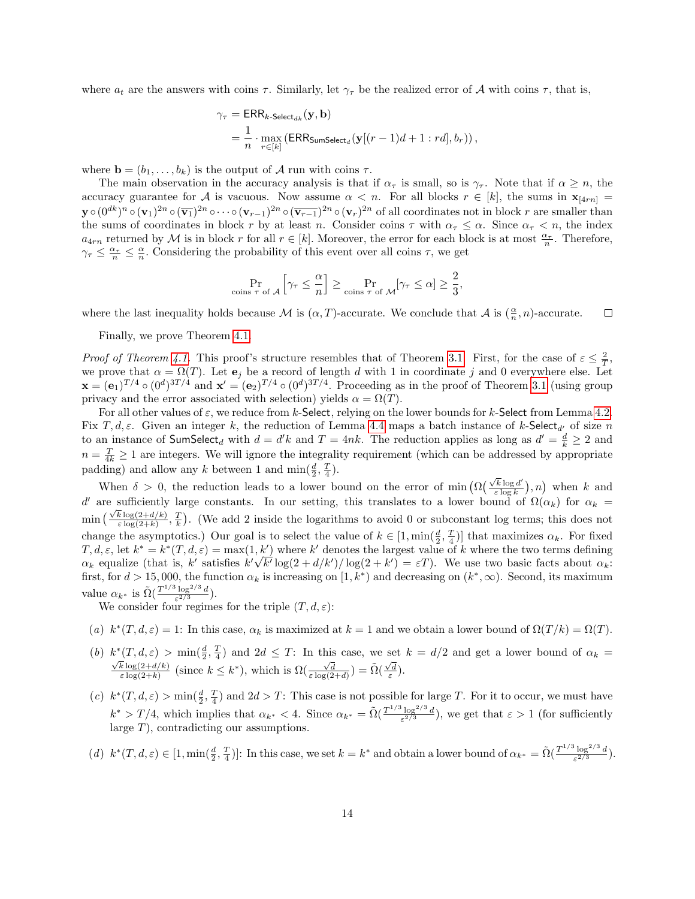where  $a_t$  are the answers with coins  $\tau$ . Similarly, let  $\gamma_\tau$  be the realized error of A with coins  $\tau$ , that is,

$$
\gamma_{\tau} = \text{ERR}_{k\text{-Select}_{dk}}(\mathbf{y}, \mathbf{b})
$$
  
= 
$$
\frac{1}{n} \cdot \max_{r \in [k]} (\text{ERR}_{\text{SumSelect}_d}(\mathbf{y}[(r-1)d+1:r d], b_r)),
$$

where  $\mathbf{b} = (b_1, \ldots, b_k)$  is the output of A run with coins  $\tau$ .

The main observation in the accuracy analysis is that if  $\alpha_{\tau}$  is small, so is  $\gamma_{\tau}$ . Note that if  $\alpha \geq n$ , the accuracy guarantee for A is vacuous. Now assume  $\alpha < n$ . For all blocks  $r \in [k]$ , the sums in  $\mathbf{x}_{[4rn]}$  $\mathbf{y} \circ (0^{dk})^n \circ (\mathbf{v}_1)^{2n} \circ (\overline{\mathbf{v}_1})^{2n} \circ \cdots \circ (\mathbf{v}_{r-1})^{2n} \circ (\overline{\mathbf{v}_{r-1}})^{2n} \circ (\mathbf{v}_r)^{2n}$  of all coordinates not in block  $r$  are smaller than the sums of coordinates in block r by at least n. Consider coins  $\tau$  with  $\alpha_{\tau} \leq \alpha$ . Since  $\alpha_{\tau} < n$ , the index  $a_{4rn}$  returned by M is in block r for all  $r \in [k]$ . Moreover, the error for each block is at most  $\frac{\alpha_r}{n}$ . Therefore,  $\gamma_{\tau} \leq \frac{\alpha_{\tau}}{n} \leq \frac{\alpha}{n}$ . Considering the probability of this event over all coins  $\tau$ , we get

$$
\Pr_{\text{coins }\tau \text{ of }\mathcal{A}}\left[\gamma_\tau \leq \frac{\alpha}{n}\right] \geq \Pr_{\text{coins }\tau \text{ of }\mathcal{M}}[\gamma_\tau \leq \alpha] \geq \frac{2}{3},
$$

where the last inequality holds because  $\mathcal M$  is  $(\alpha, T)$ -accurate. We conclude that  $\mathcal A$  is  $(\frac{\alpha}{n}, n)$ -accurate.  $\Box$ 

Finally, we prove Theorem [4.1.](#page-10-2)

*Proof of Theorem [4.1.](#page-10-2)* This proof's structure resembles that of Theorem [3.1.](#page-8-2) First, for the case of  $\varepsilon \leq \frac{2}{T}$ , we prove that  $\alpha = \Omega(T)$ . Let  $\mathbf{e}_j$  be a record of length d with 1 in coordinate j and 0 everywhere else. Let  $\mathbf{x} = (\mathbf{e}_1)^{T/4} \circ (0^d)^{3T/4}$  and  $\mathbf{x}' = (\mathbf{e}_2)^{T/4} \circ (0^d)^{3T/4}$ . Proceeding as in the proof of Theorem [3.1](#page-8-2) (using group privacy and the error associated with selection) yields  $\alpha = \Omega(T)$ .

For all other values of  $\varepsilon$ , we reduce from k-Select, relying on the lower bounds for k-Select from Lemma [4.2.](#page-11-0) Fix T, d,  $\varepsilon$ . Given an integer k, the reduction of Lemma [4.4](#page-12-2) maps a batch instance of k-Select<sub>d'</sub> of size n to an instance of  $\mathsf{SumSelect}_d$  with  $d = d'k$  and  $T = 4nk$ . The reduction applies as long as  $d' = \frac{d}{k} \geq 2$  and  $n = \frac{T}{4k} \geq 1$  are integers. We will ignore the integrality requirement (which can be addressed by appropriate padding) and allow any k between 1 and  $\min(\frac{d}{2}, \frac{T}{4})$ .

When  $\delta > 0$ , the reduction leads to a lower bound on the error of min  $\left(\Omega\left(\frac{\sqrt{k}\log d}{\epsilon\log k}\right)\right)$  $(\frac{k \log d'}{\varepsilon \log k}), n)$  when k and d' are sufficiently large constants. In our setting, this translates to a lower bound of  $\Omega(\alpha_k)$  for  $\alpha_k =$  $\min \left( \frac{\sqrt{k} \log(2+d/k)}{\epsilon \log(2+k)} \right)$  $\frac{k \log(2+d/k)}{\varepsilon \log(2+k)}, \frac{T}{k}$ . (We add 2 inside the logarithms to avoid 0 or subconstant log terms; this does not change the asymptotics.) Our goal is to select the value of  $k \in [1, \min(\frac{d}{2}, \frac{T}{4})]$  that maximizes  $\alpha_k$ . For fixed  $T, d, \varepsilon$ , let  $k^* = k^*(T, d, \varepsilon) = \max(1, k')$  where k' denotes the largest value of k where the two terms defining  $\alpha_k$  equalize (that is, k' satisfies  $k'\sqrt{k'}\log(2+d/k')/\log(2+k') = \varepsilon T$ ). We use two basic facts about  $\alpha_k$ : first, for  $d > 15,000$ , the function  $\alpha_k$  is increasing on  $[1, k^*)$  and decreasing on  $(k^*, \infty)$ . Second, its maximum value  $\alpha_{k^*}$  is  $\tilde{\Omega}(\frac{T^{1/3} \log^{2/3} d}{\epsilon^{2/3}})$  $\frac{\log^{-(\circ)} a}{\varepsilon^{2/3}}$ ).

We consider four regimes for the triple  $(T, d, \varepsilon)$ :

(a)  $k^*(T, d, \varepsilon) = 1$ : In this case,  $\alpha_k$  is maximized at  $k = 1$  and we obtain a lower bound of  $\Omega(T/k) = \Omega(T)$ .

- (b)  $k^*(T, d, \varepsilon) > \min(\frac{d}{2}, \frac{T}{4})$  and  $2d \leq T$ : In this case, we set  $k = d/2$  and get a lower bound of  $\alpha_k =$  $k \log(2+d/k)$  $\frac{\overline{k} \log(2+d/k)}{\epsilon \log(2+k)}$  (since  $k \leq k^*$ ), which is  $\Omega(\frac{\sqrt{d}}{\epsilon \log(2+d)}) = \tilde{\Omega}(\frac{\sqrt{d}}{\epsilon})$ .
- (c)  $k^*(T, d, \varepsilon) > \min(\frac{d}{2}, \frac{T}{4})$  and  $2d > T$ : This case is not possible for large T. For it to occur, we must have  $k^* > T/4$ , which implies that  $\alpha_{k^*} < 4$ . Since  $\alpha_{k^*} = \tilde{\Omega} \left( \frac{T^{1/3} \log^{2/3} d}{\epsilon^{2/3}} \right)$  $\frac{\log^{2} 2}{\epsilon^{2/3}}$ , we get that  $\epsilon > 1$  (for sufficiently large T), contradicting our assumptions.
- (d)  $k^*(T, d, \varepsilon) \in [1, \min(\frac{d}{2}, \frac{T}{4})]$ : In this case, we set  $k = k^*$  and obtain a lower bound of  $\alpha_{k^*} = \tilde{\Omega}(\frac{T^{1/3} \log^{2/3} d}{\varepsilon^{2/3}})$  $\frac{\log^{-(\circ)} a}{\varepsilon^{2/3}}$ ).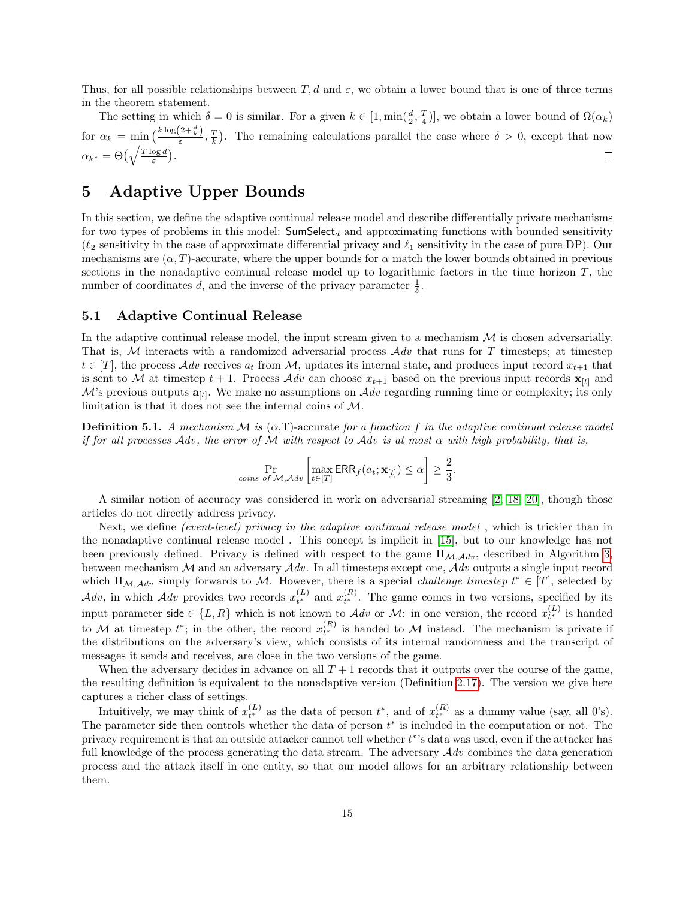Thus, for all possible relationships between T, d and  $\varepsilon$ , we obtain a lower bound that is one of three terms in the theorem statement.

The setting in which  $\delta = 0$  is similar. For a given  $k \in [1, \min(\frac{d}{2}, \frac{T}{4})]$ , we obtain a lower bound of  $\Omega(\alpha_k)$ for  $\alpha_k = \min\left(\frac{k \log(2+\frac{d}{k})}{\varepsilon}, \frac{T}{k}\right)$ . The remaining calculations parallel the case where  $\delta > 0$ , except that now  $\alpha_{k^*} = \Theta\left(\sqrt{\frac{T \log d}{\varepsilon}}\right).$  $\Box$ 

### <span id="page-14-0"></span>5 Adaptive Upper Bounds

In this section, we define the adaptive continual release model and describe differentially private mechanisms for two types of problems in this model:  $SumSelect_d$  and approximating functions with bounded sensitivity  $(\ell_2$  sensitivity in the case of approximate differential privacy and  $\ell_1$  sensitivity in the case of pure DP). Our mechanisms are  $(\alpha, T)$ -accurate, where the upper bounds for  $\alpha$  match the lower bounds obtained in previous sections in the nonadaptive continual release model up to logarithmic factors in the time horizon  $T$ , the number of coordinates d, and the inverse of the privacy parameter  $\frac{1}{\delta}$ .

#### <span id="page-14-1"></span>5.1 Adaptive Continual Release

In the adaptive continual release model, the input stream given to a mechanism  $\mathcal M$  is chosen adversarially. That is, M interacts with a randomized adversarial process  $\mathcal{A}dv$  that runs for T timesteps; at timestep  $t \in [T]$ , the process  $Adv$  receives  $a_t$  from M, updates its internal state, and produces input record  $x_{t+1}$  that is sent to M at timestep  $t + 1$ . Process  $\mathcal{A}dv$  can choose  $x_{t+1}$  based on the previous input records  $\mathbf{x}_{[t]}$  and M's previous outputs  $a_{[t]}$ . We make no assumptions on  $\mathcal{A}dv$  regarding running time or complexity; its only limitation is that it does not see the internal coins of M.

**Definition 5.1.** A mechanism M is  $(\alpha, T)$ -accurate for a function f in the adaptive continual release model if for all processes Adv, the error of M with respect to Adv is at most  $\alpha$  with high probability, that is,

$$
\Pr_{\text{cons of }M,\mathcal{A} \text{dv}}\left[\max_{t \in [T]} \text{ERR}_f(a_t; \mathbf{x}_{[t]}) \leq \alpha\right] \geq \frac{2}{3}.
$$

A similar notion of accuracy was considered in work on adversarial streaming [\[2,](#page-24-5) [18,](#page-25-11) [20\]](#page-26-8), though those articles do not directly address privacy.

Next, we define *(event-level)* privacy in the adaptive continual release model, which is trickier than in the nonadaptive continual release model . This concept is implicit in [\[15\]](#page-25-7), but to our knowledge has not been previously defined. Privacy is defined with respect to the game  $\Pi_{\mathcal{M},\mathcal{A}dv}$ , described in Algorithm [3,](#page-15-1) between mechanism  $M$  and an adversary  $Adv$ . In all timesteps except one,  $Adv$  outputs a single input record which  $\Pi_{\mathcal{M},\mathcal{A}dv}$  simply forwards to M. However, there is a special *challenge timestep*  $t^* \in [T]$ , selected by  $Adv$ , in which  $Adv$  provides two records  $x_{t^*}^{(L)}$  and  $x_{t^*}^{(R)}$ . The game comes in two versions, specified by its input parameter side  $\in \{L, R\}$  which is not known to  $\mathcal{A}dv$  or  $\mathcal{M}$ : in one version, the record  $x_{t^*}^{(L)}$  is handed to M at timestep  $t^*$ ; in the other, the record  $x_{t^*}^{(R)}$  is handed to M instead. The mechanism is private if the distributions on the adversary's view, which consists of its internal randomness and the transcript of messages it sends and receives, are close in the two versions of the game.

When the adversary decides in advance on all  $T+1$  records that it outputs over the course of the game, the resulting definition is equivalent to the nonadaptive version (Definition [2.17\)](#page-7-2). The version we give here captures a richer class of settings.

Intuitively, we may think of  $x_{t^*}^{(L)}$  as the data of person  $t^*$ , and of  $x_{t^*}^{(R)}$  as a dummy value (say, all 0's). The parameter side then controls whether the data of person  $t^*$  is included in the computation or not. The privacy requirement is that an outside attacker cannot tell whether  $t^*$ 's data was used, even if the attacker has full knowledge of the process generating the data stream. The adversary  $Adv$  combines the data generation process and the attack itself in one entity, so that our model allows for an arbitrary relationship between them.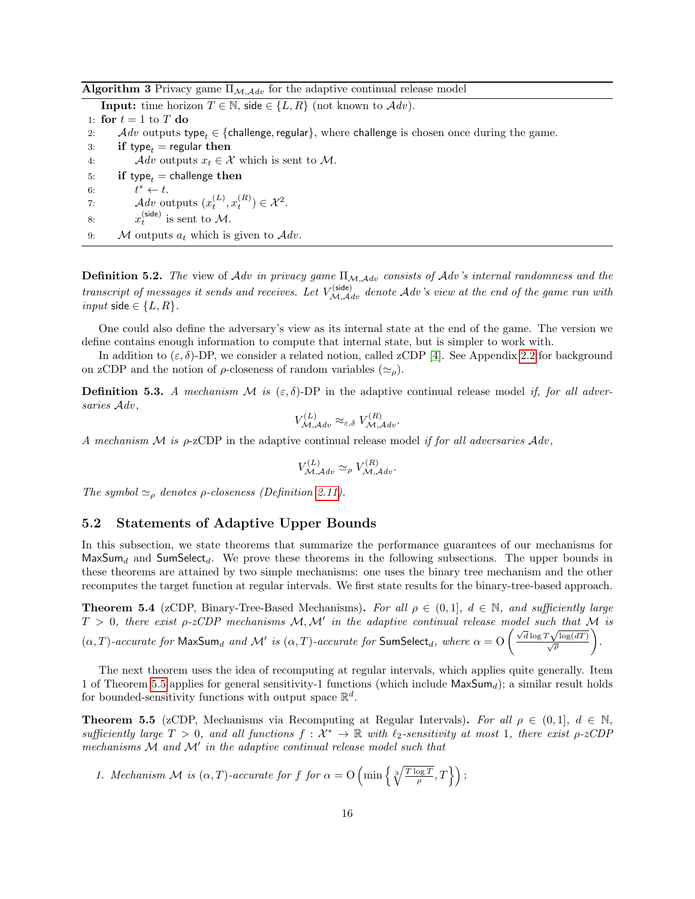<span id="page-15-1"></span>Algorithm 3 Privacy game  $\Pi_{\mathcal{M},\mathcal{A}dv}$  for the adaptive continual release model

**Input:** time horizon  $T \in \mathbb{N}$ , side  $\in \{L, R\}$  (not known to  $\mathcal{A}dv$ ).

1: for  $t = 1$  to T do 2: Adv outputs type<sub>t</sub> ∈ {challenge, regular}, where challenge is chosen once during the game. 3: if type<sub>t</sub> = regular then 4:  $\mathcal{A} dv$  outputs  $x_t \in \mathcal{X}$  which is sent to M.

- 5: if type<sub>t</sub> = challenge then
- 6:  $t^* \leftarrow t$ . 7:  $\mathcal{A} dv$  outputs  $(x_t^{(L)}, x_t^{(R)}) \in \mathcal{X}^2$ .
- <span id="page-15-4"></span>8:  $x_t^{(\text{side})}$  is sent to M.
- 9:  $\mathcal M$  outputs  $a_t$  which is given to  $\mathcal A dv$ .

**Definition 5.2.** The view of Adv in privacy game  $\Pi_{\mathcal{M},\mathcal{A}dv}$  consists of Adv's internal randomness and the transcript of messages it sends and receives. Let  $V_{\mathcal{M},\mathcal{A}dv}^{(\text{side})}$  denote  $\mathcal{A}dv$ 's view at the end of the game run with input side  $\in \{L, R\}.$ 

One could also define the adversary's view as its internal state at the end of the game. The version we define contains enough information to compute that internal state, but is simpler to work with.

In addition to  $(\varepsilon, \delta)$ -DP, we consider a related notion, called zCDP [\[4\]](#page-24-4). See Appendix [2.2](#page-5-0) for background on zCDP and the notion of  $\rho$ -closeness of random variables  $(\simeq_{\rho})$ .

**Definition 5.3.** A mechanism M is  $(\varepsilon, \delta)$ -DP in the adaptive continual release model if, for all adversaries  $Adv,$ 

$$
V_{\mathcal{M},\mathcal{A}dv}^{(L)} \approx_{\varepsilon,\delta} V_{\mathcal{M},\mathcal{A}dv}^{(R)}.
$$

A mechanism M is  $\rho$ -zCDP in the adaptive continual release model if for all adversaries  $Adv$ .

$$
V_{\mathcal{M},\mathcal{A}dv}^{(L)} \simeq_{\rho} V_{\mathcal{M},\mathcal{A}dv}^{(R)}.
$$

The symbol  $\simeq_{\rho}$  denotes  $\rho$ -closeness (Definition [2.11\)](#page-6-1).

#### <span id="page-15-0"></span>5.2 Statements of Adaptive Upper Bounds

In this subsection, we state theorems that summarize the performance guarantees of our mechanisms for  $MaxSum<sub>d</sub>$  and SumSelect<sub>d</sub>. We prove these theorems in the following subsections. The upper bounds in these theorems are attained by two simple mechanisms: one uses the binary tree mechanism and the other recomputes the target function at regular intervals. We first state results for the binary-tree-based approach.

<span id="page-15-3"></span>**Theorem 5.4** (zCDP, Binary-Tree-Based Mechanisms). For all  $\rho \in (0,1]$ ,  $d \in \mathbb{N}$ , and sufficiently large  $T > 0$ , there exist  $\rho$ -zCDP mechanisms  $\mathcal{M}, \mathcal{M}'$  in the adaptive continual release model such that  $\mathcal{M}$  is ( $\alpha$ , T)-accurate for MaxSum<sub>d</sub> and M' is ( $\alpha$ , T)-accurate for SumSelect<sub>d</sub>, where  $\alpha = O\left(\frac{\sqrt{d}\log T\sqrt{\log(dT)}}{\sqrt{\rho}}\right)$  $\setminus$ .

The next theorem uses the idea of recomputing at regular intervals, which applies quite generally. Item 1 of Theorem [5.5](#page-15-2) applies for general sensitivity-1 functions (which include  $MaxSum_d$ ); a similar result holds for bounded-sensitivity functions with output space  $\mathbb{R}^d$ .

<span id="page-15-2"></span>**Theorem 5.5** (zCDP, Mechanisms via Recomputing at Regular Intervals). For all  $\rho \in (0,1], d \in \mathbb{N}$ , sufficiently large  $T > 0$ , and all functions  $f: \mathcal{X}^* \to \mathbb{R}$  with  $\ell_2$ -sensitivity at most 1, there exist  $\rho$ -zCDP mechanisms  $M$  and  $M'$  in the adaptive continual release model such that

1. Mechanism M is  $(\alpha, T)$ -accurate for f for  $\alpha = O\left(\min\left\{\sqrt[3]{\frac{T \log T}{\rho}}, T\right\}\right)$ ;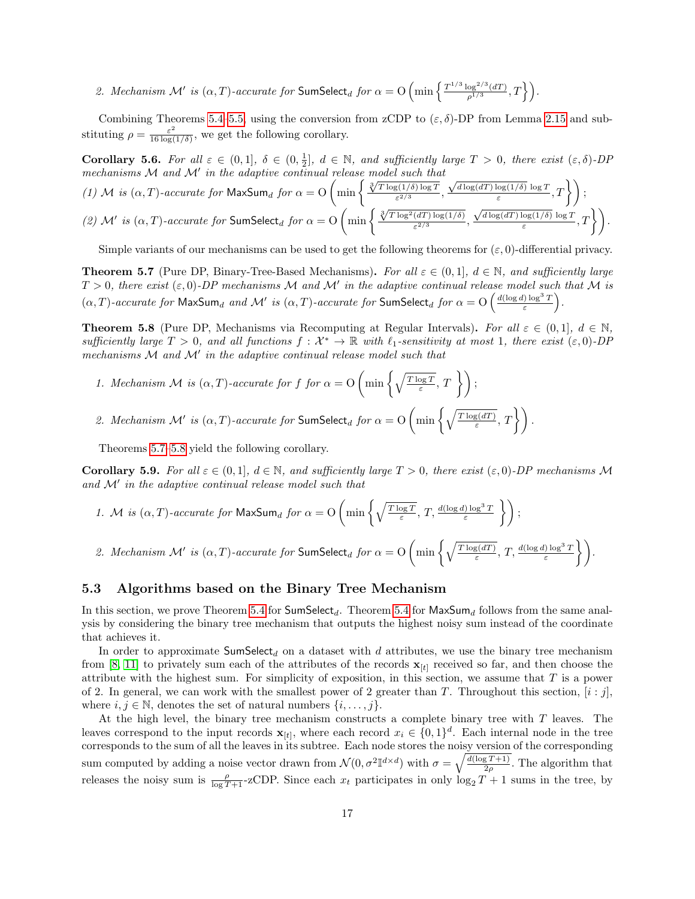2. Mechanism M' is  $(\alpha, T)$ -accurate for SumSelect<sub>d</sub> for  $\alpha = O\left(\min\left\{\frac{T^{1/3}\log^{2/3}(dT)}{a^{1/3}}\right\}\right)$  $\frac{\log^{2/3}(dT)}{\rho^{1/3}},T$  \delta ).

Combining Theorems [5.4–](#page-15-3)[5.5,](#page-15-2) using the conversion from zCDP to  $(\varepsilon, \delta)$ -DP from Lemma [2.15](#page-6-2) and substituting  $\rho = \frac{\varepsilon^2}{16 \log \theta}$  $\frac{\varepsilon^2}{16 \log(1/\delta)}$ , we get the following corollary.

<span id="page-16-1"></span>Corollary 5.6. For all  $\varepsilon \in (0,1], \delta \in (0,\frac{1}{2}], d \in \mathbb{N}$ , and sufficiently large  $T > 0$ , there exist  $(\varepsilon,\delta)$ -DP √

mechanisms M and M' in the adaptive continual release model such that  
\n(1) M is 
$$
(\alpha, T)
$$
-accurate for MaxSum<sub>d</sub> for  $\alpha = O\left(\min\left\{\frac{\sqrt[3]{T \log(1/\delta) \log T}}{\varepsilon^{2/3}}, \frac{\sqrt{d \log(dT) \log(1/\delta)} \log T}{\varepsilon}, T\right\}\right);$   
\n(2) M' is  $(\alpha, T)$ -accurate for SumSelect<sub>d</sub> for  $\alpha = O\left(\min\left\{\frac{\sqrt[3]{T \log^2(dT) \log(1/\delta)}}{\varepsilon^{2/3}}, \frac{\sqrt{d \log(dT) \log(1/\delta)} \log T}{\varepsilon}, T\right\}\right).$ 

Simple variants of our mechanisms can be used to get the following theorems for  $(\varepsilon, 0)$ -differential privacy.

<span id="page-16-3"></span>**Theorem 5.7** (Pure DP, Binary-Tree-Based Mechanisms). For all  $\varepsilon \in (0,1]$ ,  $d \in \mathbb{N}$ , and sufficiently large  $T > 0$ , there exist  $(\varepsilon, 0)$ -DP mechanisms M and M' in the adaptive continual release model such that M is  $(\alpha, T)$ -accurate for MaxSum<sub>d</sub> and M' is  $(\alpha, T)$ -accurate for SumSelect<sub>d</sub> for  $\alpha = O\left(\frac{d(\log d)\log^3 T}{\varepsilon}\right)$  $\frac{\log^3 T}{\varepsilon}\bigg).$ 

<span id="page-16-4"></span>**Theorem 5.8** (Pure DP, Mechanisms via Recomputing at Regular Intervals). For all  $\varepsilon \in (0,1], d \in \mathbb{N}$ , sufficiently large  $T > 0$ , and all functions  $f: \mathcal{X}^* \to \mathbb{R}$  with  $\ell_1$ -sensitivity at most 1, there exist  $(\varepsilon, 0)$ -DP mechanisms  $M$  and  $M'$  in the adaptive continual release model such that

- 1. Mechanism M is  $(\alpha, T)$ -accurate for f for  $\alpha = O\left(\min\left\{\sqrt{\frac{T \log T}{\varepsilon}}, T\right\}\right)$ ;
- 2. Mechanism M' is  $(\alpha, T)$ -accurate for SumSelect<sub>d</sub> for  $\alpha = O\left(\min\left\{\sqrt{\frac{T \log(dT)}{\varepsilon}}\right\}\right)$  $\overline{g(\frac{dT}{\varepsilon})},T\bigg\}\bigg).$

Theorems [5.7–](#page-16-3)[5.8](#page-16-4) yield the following corollary.

<span id="page-16-2"></span>Corollary 5.9. For all  $\varepsilon \in (0,1], d \in \mathbb{N}$ , and sufficiently large  $T > 0$ , there exist  $(\varepsilon, 0)$ -DP mechanisms M and  $\mathcal{M}'$  in the adaptive continual release model such that

1. M is 
$$
(\alpha, T)
$$
-accurate for MaxSum<sub>d</sub> for  $\alpha = O\left(\min\left\{\sqrt{\frac{T \log T}{\varepsilon}}, T, \frac{d(\log d) \log^3 T}{\varepsilon}\right\}\right);$ 

2. Mechanism M' is  $(\alpha, T)$ -accurate for SumSelect<sub>d</sub> for  $\alpha = O\left(\min\left\{\sqrt{\frac{T \log(dT)}{\varepsilon}}\right\}\right)$  $\sqrt{\frac{g(dT)}{\varepsilon}}, T, \frac{d(\log d)\log^3 T}{\varepsilon} \}$ .

#### <span id="page-16-0"></span>5.3 Algorithms based on the Binary Tree Mechanism

In this section, we prove Theorem [5.4](#page-15-3) for  $SumSelect_d$ . Theorem 5.4 for  $MaxSum_d$  follows from the same analysis by considering the binary tree mechanism that outputs the highest noisy sum instead of the coordinate that achieves it.

In order to approximate  $SumSelect_d$  on a dataset with d attributes, we use the binary tree mechanism from [\[8,](#page-25-3) [11\]](#page-25-2) to privately sum each of the attributes of the records  $\mathbf{x}_{[t]}$  received so far, and then choose the attribute with the highest sum. For simplicity of exposition, in this section, we assume that T is a power of 2. In general, we can work with the smallest power of 2 greater than T. Throughout this section,  $[i : j]$ , where  $i, j \in \mathbb{N}$ , denotes the set of natural numbers  $\{i, \ldots, j\}$ .

At the high level, the binary tree mechanism constructs a complete binary tree with T leaves. The leaves correspond to the input records  $\mathbf{x}_{[t]}$ , where each record  $x_i \in \{0,1\}^d$ . Each internal node in the tree corresponds to the sum of all the leaves in its subtree. Each node stores the noisy version of the corresponding sum computed by adding a noise vector drawn from  $\mathcal{N}(0, \sigma^2 \mathbb{I}^{d \times d})$  with  $\sigma = \sqrt{\frac{d(\log T + 1)}{2\rho}}$ . The algorithm that releases the noisy sum is  $\frac{\rho}{\log T+1}$ -zCDP. Since each  $x_t$  participates in only  $\log_2 T + 1$  sums in the tree, by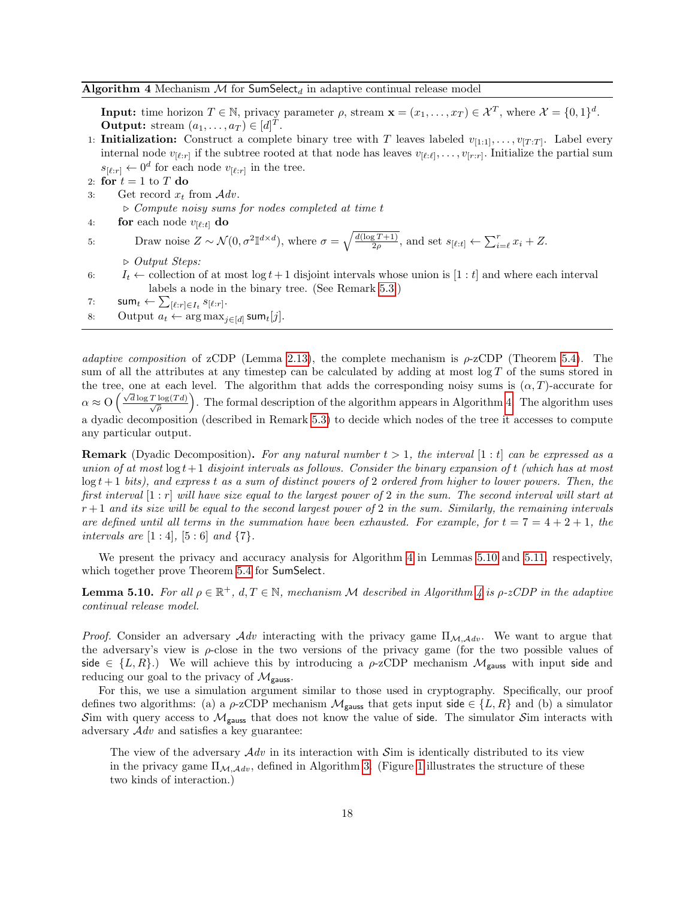<span id="page-17-0"></span>**Input:** time horizon  $T \in \mathbb{N}$ , privacy parameter  $\rho$ , stream  $\mathbf{x} = (x_1, \dots, x_T) \in \mathcal{X}^T$ , where  $\mathcal{X} = \{0, 1\}^d$ . **Output:** stream  $(a_1, \ldots, a_T) \in [d]^T$ .

- 1: **Initialization:** Construct a complete binary tree with T leaves labeled  $v_{[1:1]}, \ldots, v_{[T:T]}$ . Label every internal node  $v_{[\ell:r]}$  if the subtree rooted at that node has leaves  $v_{[\ell:\ell]}, \ldots, v_{[r:r]}$ . Initialize the partial sum  $s_{\lbrack \ell :r\rbrack} \leftarrow 0^d$  for each node  $v_{\lbrack \ell :r\rbrack}$  in the tree.
- 2: for  $t = 1$  to T do
- 3: Get record  $x_t$  from  $\mathcal{A} dv$ .

 $\triangleright$  Compute noisy sums for nodes completed at time t

4: **for** each node  $v_{[\ell:t]}$  **do** 

5: Draw noise 
$$
Z \sim \mathcal{N}(0, \sigma^2 \mathbb{I}^{d \times d})
$$
, where  $\sigma = \sqrt{\frac{d(\log T + 1)}{2\rho}}$ , and set  $s_{[\ell:t]} \leftarrow \sum_{i=\ell}^r x_i + Z$ .

 $\triangleright$  Output Steps:

- 6:  $I_t \leftarrow$  collection of at most  $\log t + 1$  disjoint intervals whose union is  $[1 : t]$  and where each interval labels a node in the binary tree. (See Remark [5.3.](#page-15-4))
- 7:  $\mathsf{sum}_t \gets \sum_{[\ell : r] \in I_t} s_{[\ell : r]}.$
- 8: Output  $a_t \leftarrow \arg \max_{j \in [d]} \operatorname{\mathsf{sum}}_t[j].$

adaptive composition of zCDP (Lemma [2.13\)](#page-6-3), the complete mechanism is  $\rho$ -zCDP (Theorem [5.4\)](#page-15-3). The sum of all the attributes at any timestep can be calculated by adding at most  $\log T$  of the sums stored in the tree, one at each level. The algorithm that adds the corresponding noisy sums is  $(\alpha, T)$ -accurate for  $\alpha \approx O\left(\frac{\sqrt{d}\log T \log(Td)}{\sqrt{\rho}}\right)$ . The formal description of the algorithm appears in Algorithm [4.](#page-17-0) The algorithm uses a dyadic decomposition (described in Remark [5.3\)](#page-15-4) to decide which nodes of the tree it accesses to compute any particular output.

**Remark** (Dyadic Decomposition). For any natural number  $t > 1$ , the interval  $[1 : t]$  can be expressed as a union of at most  $\log t + 1$  disjoint intervals as follows. Consider the binary expansion of t (which has at most  $\log t + 1$  bits), and express t as a sum of distinct powers of 2 ordered from higher to lower powers. Then, the first interval  $[1:r]$  will have size equal to the largest power of 2 in the sum. The second interval will start at  $r+1$  and its size will be equal to the second largest power of 2 in the sum. Similarly, the remaining intervals are defined until all terms in the summation have been exhausted. For example, for  $t = 7 = 4 + 2 + 1$ , the intervals are  $[1:4]$ ,  $[5:6]$  and  $\{7\}$ .

We present the privacy and accuracy analysis for Algorithm [4](#page-17-0) in Lemmas [5.10](#page-17-1) and [5.11,](#page-19-0) respectively, which together prove Theorem [5.4](#page-15-3) for **SumSelect**.

<span id="page-17-1"></span>**Lemma 5.10.** For all  $\rho \in \mathbb{R}^+$ ,  $d, T \in \mathbb{N}$ , mechanism M described in Algorithm [4](#page-17-0) is  $\rho$ -zCDP in the adaptive continual release model.

*Proof.* Consider an adversary  $Adv$  interacting with the privacy game  $\Pi_{M,Adv}$ . We want to argue that the adversary's view is  $\rho$ -close in the two versions of the privacy game (for the two possible values of side  $\in \{L, R\}$ .) We will achieve this by introducing a  $\rho$ -zCDP mechanism  $\mathcal{M}_{\text{gauss}}$  with input side and reducing our goal to the privacy of  $\mathcal{M}_{\text{gauss}}$ .

For this, we use a simulation argument similar to those used in cryptography. Specifically, our proof defines two algorithms: (a) a  $\rho$ -zCDP mechanism  $\mathcal{M}_{\text{gauss}}$  that gets input side  $\in \{L, R\}$  and (b) a simulator Sim with query access to  $\mathcal{M}_{\text{gauss}}$  that does not know the value of side. The simulator Sim interacts with adversary  $\mathcal{A}dv$  and satisfies a key guarantee:

The view of the adversary  $\mathcal{A}dv$  in its interaction with  $\mathcal{S}$ im is identically distributed to its view in the privacy game  $\Pi_{\mathcal{M},\mathcal{A}dv}$ , defined in Algorithm [3.](#page-15-1) (Figure [1](#page-19-1) illustrates the structure of these two kinds of interaction.)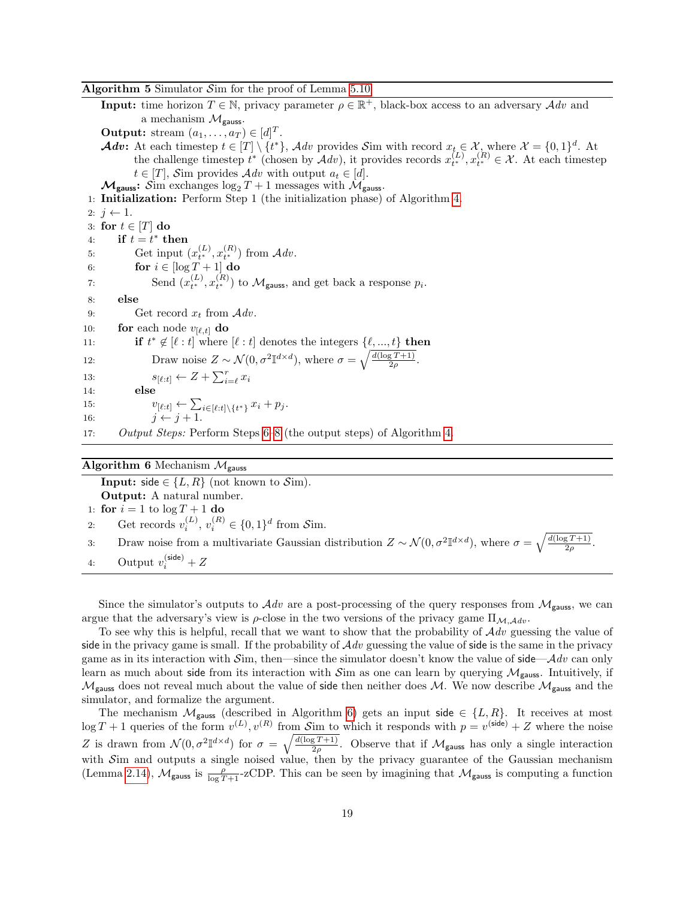#### <span id="page-18-1"></span>Algorithm 5 Simulator Sim for the proof of Lemma [5.10](#page-17-1)

**Input:** time horizon  $T \in \mathbb{N}$ , privacy parameter  $\rho \in \mathbb{R}^+$ , black-box access to an adversary  $Adv$  and a mechanism  $\mathcal{M}_{\text{gauss}}$ . **Output:** stream  $(a_1, \ldots, a_T) \in [d]^T$ . **Adv:** At each timestep  $t \in [T] \setminus \{t^*\}$ , Adv provides Sim with record  $x_{t, \epsilon} \in \mathcal{X}$ , where  $\mathcal{X} = \{0, 1\}^d$ . At the challenge timestep  $t^*$  (chosen by  $\mathcal{A}dv$ ), it provides records  $x_{t^*}^{(L)}$ ,  $x_{t^*}^{(R)} \in \mathcal{X}$ . At each timestep  $t \in [T]$ , Sim provides  $\mathcal{A}dv$  with output  $a_t \in [d]$ .  $\mathcal{M}_{\text{gauss}}$ : Sim exchanges  $\log_2 T + 1$  messages with  $\mathcal{M}_{\text{gauss}}$ . 1: Initialization: Perform Step 1 (the initialization phase) of Algorithm [4.](#page-17-0) 2:  $j \leftarrow 1$ . 3: for  $t \in [T]$  do 4: if  $t = t^*$  then 5: Get input  $(x_{t^*}^{(L)}, x_{t^*}^{(R)})$  from  $\mathcal{A}dv$ . 6: **for**  $i \in [\log T + 1]$  do 7: Send  $(x_{t^*}^{(L)}, x_{t^*}^{(R)})$  to  $\mathcal{M}_{\text{gauss}}$ , and get back a response  $p_i$ . 8: else 9: Get record  $x_t$  from  $\mathcal{A}dv$ . 10: **for** each node  $v_{\ell,t}$  **do** 11: **if**  $t^* \notin [\ell : t]$  where  $[\ell : t]$  denotes the integers  $\{\ell, ..., t\}$  then 12: Draw noise  $Z \sim \mathcal{N}(0, \sigma^2 \mathbb{I}^{d \times d})$ , where  $\sigma = \sqrt{\frac{d(\log T + 1)}{2\rho}}$ . 13:  $s_{[\ell:t]} \leftarrow Z + \sum_{i=\ell}^{r} x_i$ 14: else 15:  $v_{[\ell:t]} \leftarrow \sum_{i \in [\ell:t] \setminus \{t^*\}} x_i + p_j.$ 16:  $j \leftarrow j + 1$ . 17: Output Steps: Perform Steps [6](#page-9-3)[–8](#page-15-4) (the output steps) of Algorithm [4.](#page-17-0)

#### <span id="page-18-0"></span>Algorithm 6 Mechanism  $\mathcal{M}_{\text{gauss}}$

**Input:** side  $\in \{L, R\}$  (not known to  $\mathcal{S}$ im). Output: A natural number. 1: for  $i = 1$  to  $\log T + 1$  do 2: Get records  $v_i^{(L)}$ ,  $v_i^{(R)} \in \{0,1\}^d$  from Sim. 3: Draw noise from a multivariate Gaussian distribution  $Z \sim \mathcal{N}(0, \sigma^2 \mathbb{I}^{d \times d})$ , where  $\sigma = \sqrt{\frac{d(\log T + 1)}{2\rho}}$ . 4: Output  $v_i^{(\text{side})} + Z$ 

Since the simulator's outputs to  $\mathcal{A}dv$  are a post-processing of the query responses from  $\mathcal{M}_{gauss}$ , we can argue that the adversary's view is  $\rho$ -close in the two versions of the privacy game  $\Pi_{\mathcal{M},\mathcal{A}dv}$ .

To see why this is helpful, recall that we want to show that the probability of  $Adv$  guessing the value of side in the privacy game is small. If the probability of  $Adv$  guessing the value of side is the same in the privacy game as in its interaction with  $\mathcal{S}$ im, then—since the simulator doesn't know the value of side— $\mathcal{A}$ dv can only learn as much about side from its interaction with Sim as one can learn by querying  $\mathcal{M}_{\text{gauss}}$ . Intuitively, if  $M_{\text{gauss}}$  does not reveal much about the value of side then neither does M. We now describe  $M_{\text{gauss}}$  and the simulator, and formalize the argument.

The mechanism  $\mathcal{M}_{\text{gauss}}$  (described in Algorithm [6\)](#page-18-0) gets an input side  $\in \{L, R\}$ . It receives at most  $\log T + 1$  queries of the form  $v^{(L)}$ ,  $v^{(R)}$  from Sim to which it responds with  $p = v^{(\text{side})} + Z$  where the noise Z is drawn from  $\mathcal{N}(0, \sigma^2 \mathbb{I}^{d \times d})$  for  $\sigma = \sqrt{\frac{d(\log T + 1)}{2\rho}}$ . Observe that if  $\mathcal{M}_{\text{gauss}}$  has only a single interaction with Sim and outputs a single noised value, then by the privacy guarantee of the Gaussian mechanism (Lemma [2.14\)](#page-6-4),  $\mathcal{M}_{\text{gauss}}$  is  $\frac{\rho}{\log T+1}$ -zCDP. This can be seen by imagining that  $\mathcal{M}_{\text{gauss}}$  is computing a function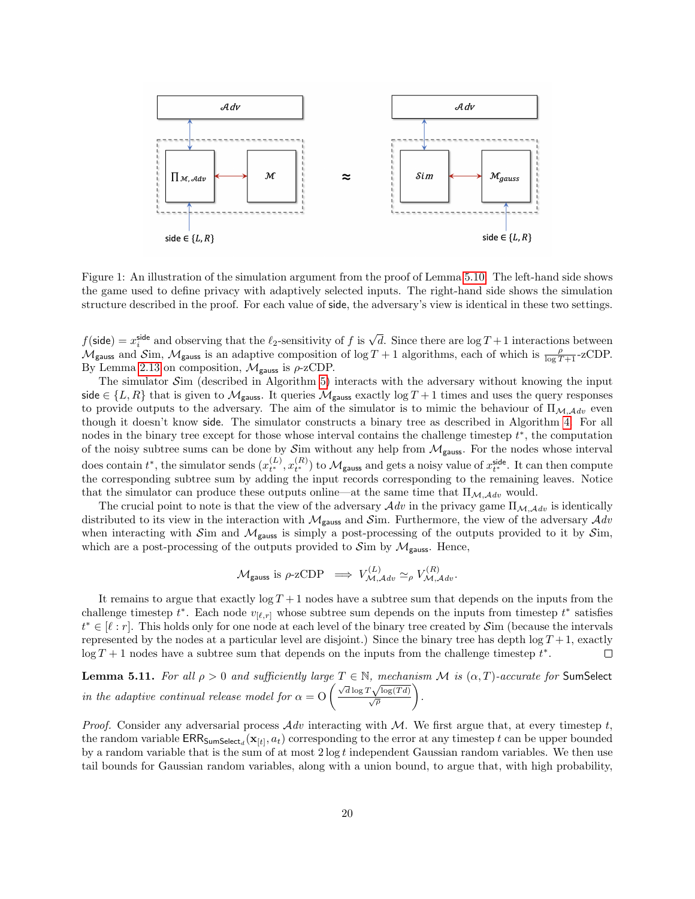

<span id="page-19-1"></span>Figure 1: An illustration of the simulation argument from the proof of Lemma [5.10.](#page-17-1) The left-hand side shows the game used to define privacy with adaptively selected inputs. The right-hand side shows the simulation structure described in the proof. For each value of side, the adversary's view is identical in these two settings.

 $f(\text{side}) = x_i^{\text{side}}$  and observing that the  $\ell_2$ -sensitivity of f is  $\sqrt{d}$ . Since there are  $\log T + 1$  interactions between  $\mathcal{M}_{\text{gauss}}$  and  $\mathcal{S}$ im,  $\mathcal{M}_{\text{gauss}}$  is an adaptive composition of log T + 1 algorithms, each of which is  $\frac{\rho}{\log T+1}$ -zCDP. By Lemma [2.13](#page-6-3) on composition,  $\mathcal{M}_{\text{gauss}}$  is  $\rho$ -zCDP.

The simulator  $\mathcal{S}$ im (described in Algorithm [5\)](#page-18-1) interacts with the adversary without knowing the input side  $\in \{L, R\}$  that is given to  $\mathcal{M}_{\text{gauss}}$ . It queries  $\mathcal{M}_{\text{gauss}}$  exactly  $\log T + 1$  times and uses the query responses to provide outputs to the adversary. The aim of the simulator is to mimic the behaviour of  $\Pi_{\mathcal{M},\mathcal{A}dv}$  even though it doesn't know side. The simulator constructs a binary tree as described in Algorithm [4.](#page-17-0) For all nodes in the binary tree except for those whose interval contains the challenge timestep  $t^*$ , the computation of the noisy subtree sums can be done by  $\mathcal{S}$ im without any help from  $\mathcal{M}_{\text{gauss}}$ . For the nodes whose interval does contain  $t^*$ , the simulator sends  $(x_{t^*}^{(L)}, x_{t^*}^{(R)})$  to  $\mathcal{M}_{\text{gauss}}$  and gets a noisy value of  $x_{t^*}^{\text{side}}$ . It can then compute the corresponding subtree sum by adding the input records corresponding to the remaining leaves. Notice that the simulator can produce these outputs online—at the same time that  $\Pi_{\mathcal{M},\mathcal{A}dv}$  would.

The crucial point to note is that the view of the adversary  $\mathcal{A}dv$  in the privacy game  $\Pi_{\mathcal{M},\mathcal{A}dv}$  is identically distributed to its view in the interaction with  $\mathcal{M}_{\text{gauss}}$  and  $\mathcal{S}$ im. Furthermore, the view of the adversary  $\mathcal{A}dv$ when interacting with Sim and  $\mathcal{M}_{\text{gauss}}$  is simply a post-processing of the outputs provided to it by Sim, which are a post-processing of the outputs provided to  $\mathcal{S}_{\text{im}}$  by  $\mathcal{M}_{\text{gauss}}$ . Hence,

$$
\mathcal{M}_{\text{gauss}} \text{ is } \rho\text{-zCDP} \implies V_{\mathcal{M},\mathcal{A}dv}^{(L)} \simeq_{\rho} V_{\mathcal{M},\mathcal{A}dv}^{(R)}.
$$

It remains to argue that exactly  $\log T + 1$  nodes have a subtree sum that depends on the inputs from the challenge timestep  $t^*$ . Each node  $v_{[\ell,r]}$  whose subtree sum depends on the inputs from timestep  $t^*$  satisfies  $t^* \in [\ell : r]$ . This holds only for one node at each level of the binary tree created by Sim (because the intervals represented by the nodes at a particular level are disjoint.) Since the binary tree has depth  $\log T + 1$ , exactly  $\log T + 1$  nodes have a subtree sum that depends on the inputs from the challenge timestep  $t^*$ .  $\Box$ 

<span id="page-19-0"></span>**Lemma 5.11.** For all  $\rho > 0$  and sufficiently large  $T \in \mathbb{N}$ , mechanism M is  $(\alpha, T)$ -accurate for SumSelect **EXECUTE:** For all  $p > 0$  and sufficiently large  $I \in \mathbb{N}$ , method<br>in the adaptive continual release model for  $\alpha = O\left(\frac{\sqrt{d}\log T\sqrt{\log(Td)}}{\sqrt{\rho}}\right)$ .

*Proof.* Consider any adversarial process  $\mathcal{A}dv$  interacting with  $\mathcal{M}$ . We first argue that, at every timestep t, the random variable  $\mathsf{ERR_{SumSelect}}(\mathbf{x}_{[t]}, a_t)$  corresponding to the error at any timestep  $t$  can be upper bounded by a random variable that is the sum of at most  $2 \log t$  independent Gaussian random variables. We then use tail bounds for Gaussian random variables, along with a union bound, to argue that, with high probability,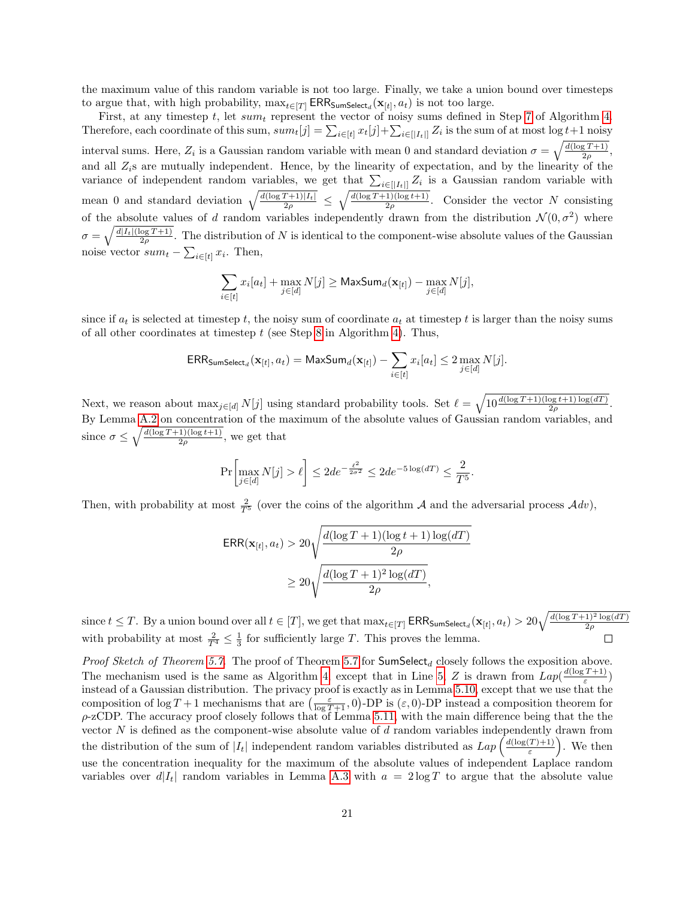the maximum value of this random variable is not too large. Finally, we take a union bound over timesteps to argue that, with high probability,  $\max_{t \in [T]} \text{ERR}_{\text{SumSelect}_d}(\mathbf{x}_{[t]}, a_t)$  is not too large.

First, at any timestep  $t$ , let  $sum_t$  represent the vector of noisy sums defined in Step [7](#page-9-5) of Algorithm [4.](#page-17-0) Therefore, each coordinate of this sum,  $sum_t[j] = \sum_{i \in [t]} x_t[j] + \sum_{i \in [|I_t|]} Z_i$  is the sum of at most  $\log t + 1$  noisy interval sums. Here,  $Z_i$  is a Gaussian random variable with mean 0 and standard deviation  $\sigma = \sqrt{\frac{d(\log T + 1)}{2\rho}},$ and all  $Z_i$ s are mutually independent. Hence, by the linearity of expectation, and by the linearity of the variance of independent random variables, we get that  $\sum_{i\in[|I_t|]}Z_i$  is a Gaussian random variable with mean 0 and standard deviation  $\sqrt{\frac{d(\log T + 1)|I_t|}{2\rho}} \leq \sqrt{\frac{d(\log T + 1)(\log t + 1)}{2\rho}}$ . Consider the vector N consisting of the absolute values of d random variables independently drawn from the distribution  $\mathcal{N}(0, \sigma^2)$  where  $\sigma = \sqrt{\frac{d|I_t|(\log T + 1)}{2\rho}}$ . The distribution of N is identical to the component-wise absolute values of the Gaussian noise vector  $sum_t - \sum_{i \in [t]} x_i$ . Then,

$$
\sum_{i \in [t]} x_i [a_t] + \max_{j \in [d]} N[j] \geq \mathsf{MaxSum}_d(\mathbf{x}_{[t]}) - \max_{j \in [d]} N[j],
$$

since if  $a_t$  is selected at timestep t, the noisy sum of coordinate  $a_t$  at timestep t is larger than the noisy sums of all other coordinates at timestep  $t$  (see Step [8](#page-15-4) in Algorithm [4\)](#page-17-0). Thus,

$$
\mathsf{ERR_{SumSelect_d}}(\mathbf{x}_{[t]}, a_t) = \mathsf{MaxSum_d}(\mathbf{x}_{[t]}) - \sum_{i \in [t]} x_i [a_t] \leq 2 \max_{j \in [d]} N[j].
$$

Next, we reason about  $\max_{j \in [d]} N[j]$  using standard probability tools. Set  $\ell = \sqrt{10 \frac{d(\log T + 1)(\log t + 1) \log(dT)}{2\rho}}$ . By Lemma [A.2](#page-27-1) on concentration of the maximum of the absolute values of Gaussian random variables, and since  $\sigma \leq \sqrt{\frac{d(\log T + 1)(\log t + 1)}{2\rho}}$ , we get that

$$
\Pr\left[\max_{j\in[d]}N[j] > \ell\right] \leq 2d e^{-\frac{\ell^2}{2\sigma^2}} \leq 2d e^{-5\log(dT)} \leq \frac{2}{T^5}.
$$

Then, with probability at most  $\frac{2}{T^5}$  (over the coins of the algorithm A and the adversarial process  $Adv$ ),

$$
\begin{aligned} \textsf{ERR}(\mathbf{x}_{[t]}, a_t) &> 20 \sqrt{\frac{d(\log T + 1)(\log t + 1)\log(dT)}{2\rho}} \\ &\geq 20 \sqrt{\frac{d(\log T + 1)^2\log(dT)}{2\rho}}, \end{aligned}
$$

since  $t \leq T$ . By a union bound over all  $t \in [T]$ , we get that  $\max_{t \in [T]} \textsf{ERR}_{\textsf{SumSelect}_d}(\mathbf{x}_{[t]}, a_t) > 20\sqrt{\frac{d(\log T + 1)^2\log(dT)}{2\rho}}$ with probability at most  $\frac{2}{T^4} \leq \frac{1}{3}$  for sufficiently large T. This proves the lemma.

*Proof Sketch of Theorem [5.7.](#page-16-3)* The proof of Theorem [5.7](#page-16-3) for SumSelect<sub>d</sub> closely follows the exposition above. The mechanism used is the same as Algorithm [4,](#page-17-0) except that in Line [5,](#page-9-6) Z is drawn from  $Lap(\frac{d(\log T+1)}{s})$  $\frac{\frac{(T+1)}{\varepsilon}}$ instead of a Gaussian distribution. The privacy proof is exactly as in Lemma [5.10,](#page-17-1) except that we use that the composition of  $\log T + 1$  mechanisms that are  $\left(\frac{\varepsilon}{\log T + 1}, 0\right)$ -DP is  $(\varepsilon, 0)$ -DP instead a composition theorem for  $\rho$ -zCDP. The accuracy proof closely follows that of Lemma [5.11,](#page-19-0) with the main difference being that the the vector  $N$  is defined as the component-wise absolute value of  $d$  random variables independently drawn from the distribution of the sum of  $|I_t|$  independent random variables distributed as  $Lap\left(\frac{d(\log(T)+1)}{\varepsilon}\right)$  $\left(\frac{T+1}{\varepsilon}\right)$ . We then use the concentration inequality for the maximum of the absolute values of independent Laplace random variables over  $d|I_t|$  random variables in Lemma [A.3](#page-27-2) with  $a = 2 \log T$  to argue that the absolute value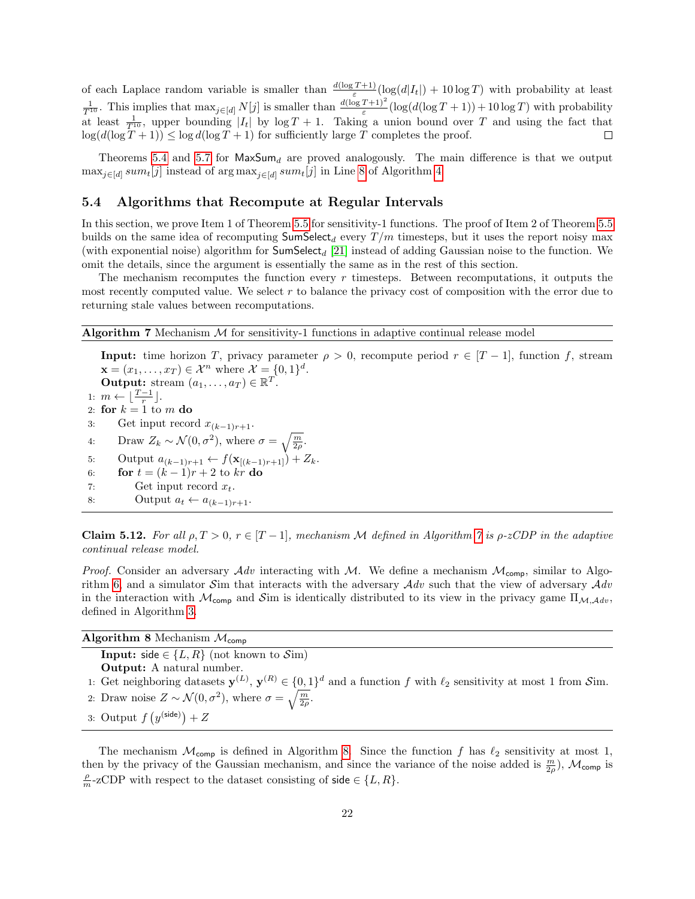of each Laplace random variable is smaller than  $\frac{d(\log T + 1)}{\varepsilon}(\log(d|I_t|) + 10 \log T)$  with probability at least  $\frac{1}{T^{10}}$ . This implies that  $\max_{j \in [d]} N[j]$  is smaller than  $\frac{d(\log T + 1)^2}{\varepsilon} (\log(d(\log T + 1)) + 10 \log T)$  with probability at least  $\frac{1}{T^{10}}$ , upper bounding  $|I_t|$  by  $\log T + 1$ . Taking a union bound over T and using the fact that  $\log(d(\log T + 1)) \leq \log d(\log T + 1)$  for sufficiently large T completes the proof.

Theorems [5.4](#page-15-3) and [5.7](#page-16-3) for  $MaxSum_d$  are proved analogously. The main difference is that we output  $\max_{j \in [d]} sum_t[j]$  instead of  $\arg \max_{j \in [d]} sum_t[j]$  in Line [8](#page-15-4) of Algorithm [4.](#page-17-0)

#### <span id="page-21-0"></span>5.4 Algorithms that Recompute at Regular Intervals

In this section, we prove Item 1 of Theorem [5.5](#page-15-2) for sensitivity-1 functions. The proof of Item 2 of Theorem [5.5](#page-15-2) builds on the same idea of recomputing  $SumSelect_d$  every  $T/m$  timesteps, but it uses the report noisy max (with exponential noise) algorithm for  $SumSelect_d$  [\[21\]](#page-26-9) instead of adding Gaussian noise to the function. We omit the details, since the argument is essentially the same as in the rest of this section.

The mechanism recomputes the function every  $r$  timesteps. Between recomputations, it outputs the most recently computed value. We select  $r$  to balance the privacy cost of composition with the error due to returning stale values between recomputations.

<span id="page-21-1"></span>**Algorithm 7** Mechanism  $M$  for sensitivity-1 functions in adaptive continual release model

**Input:** time horizon T, privacy parameter  $\rho > 0$ , recompute period  $r \in [T-1]$ , function f, stream  $\mathbf{x} = (x_1, \dots, x_T) \in \mathcal{X}^n$  where  $\mathcal{X} = \{0, 1\}^d$ . Output: stream  $(a_1, \ldots, a_T) \in \mathbb{R}^T$ . 1:  $m \leftarrow \lfloor \frac{T-1}{r} \rfloor$ . 2: for  $k = 1$  to m do 3: Get input record  $x_{(k-1)r+1}$ . 4: Draw  $Z_k \sim \mathcal{N}(0, \sigma^2)$ , where  $\sigma = \sqrt{\frac{m}{2\rho}}$ . 5: Output  $a_{(k-1)r+1} \leftarrow f(\mathbf{x}_{[(k-1)r+1]}) + Z_k$ . 6: **for**  $t = (k-1)r + 2$  to kr **do** 7: Get input record  $x_t$ . 8: Output  $a_t \leftarrow a_{(k-1)r+1}$ .

<span id="page-21-3"></span>Claim 5.12. For all  $\rho, T > 0, r \in [T-1]$ , mechanism M defined in Algorithm [7](#page-21-1) is  $\rho$ -zCDP in the adaptive continual release model.

*Proof.* Consider an adversary  $Adv$  interacting with M. We define a mechanism  $M_{\text{comp}}$ , similar to Algo-rithm [6,](#page-18-0) and a simulator Sim that interacts with the adversary  $Adv$  such that the view of adversary  $Adv$ in the interaction with  $\mathcal{M}_{\text{comp}}$  and Sim is identically distributed to its view in the privacy game  $\Pi_{\mathcal{M},\mathcal{A}dv}$ . defined in Algorithm [3.](#page-15-1)

<span id="page-21-2"></span>

| Algorithm 8 Mechanism $\mathcal{M}_{\text{comp}}$                                                                                                |  |  |  |  |
|--------------------------------------------------------------------------------------------------------------------------------------------------|--|--|--|--|
| <b>Input:</b> side $\in \{L, R\}$ (not known to Sim)                                                                                             |  |  |  |  |
| <b>Output:</b> A natural number.                                                                                                                 |  |  |  |  |
| 1: Get neighboring datasets $\mathbf{y}^{(L)}$ , $\mathbf{y}^{(R)} \in \{0,1\}^d$ and a function f with $\ell_2$ sensitivity at most 1 from Sim. |  |  |  |  |
| 2: Draw noise $Z \sim \mathcal{N}(0, \sigma^2)$ , where $\sigma = \sqrt{\frac{m}{2\rho}}$ .                                                      |  |  |  |  |
| 3: Output $f(y^{(\text{side})}) + Z$                                                                                                             |  |  |  |  |

The mechanism  $\mathcal{M}_{\text{comp}}$  is defined in Algorithm [8.](#page-21-2) Since the function f has  $\ell_2$  sensitivity at most 1, then by the privacy of the Gaussian mechanism, and since the variance of the noise added is  $\frac{m}{2\rho}$ ),  $\mathcal{M}_{\text{comp}}$  is  $\frac{\rho}{m}$ -zCDP with respect to the dataset consisting of side  $\in \{L, R\}.$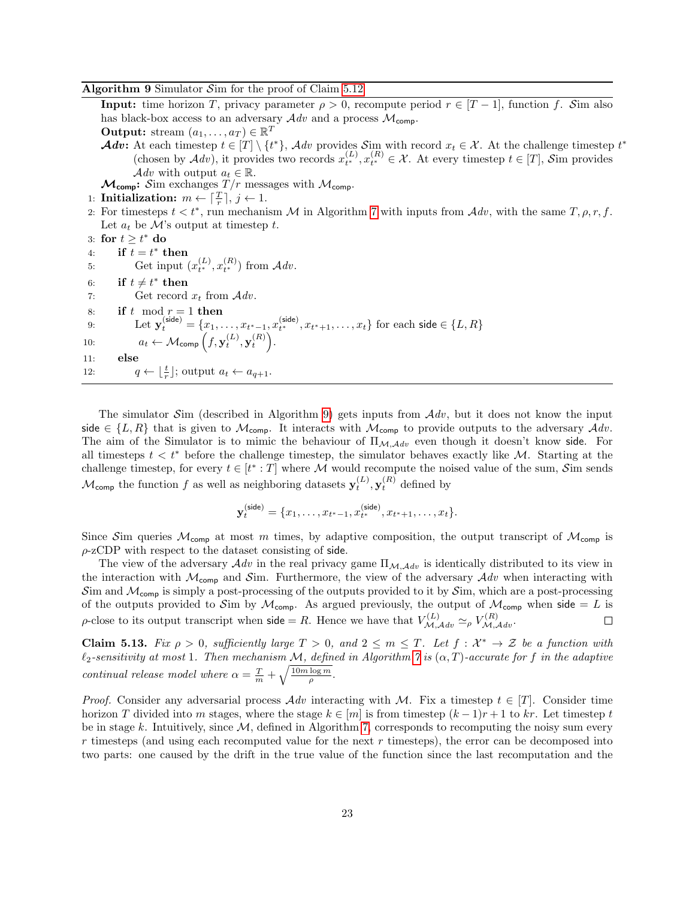#### <span id="page-22-0"></span>**Algorithm 9** Simulator  $\mathcal{S}$  im for the proof of Claim [5.12](#page-21-3)

**Input:** time horizon T, privacy parameter  $\rho > 0$ , recompute period  $r \in [T-1]$ , function f. Sim also has black-box access to an adversary  $\mathcal{A}dv$  and a process  $\mathcal{M}_{\mathsf{comp}}$ . **Output:** stream  $(a_1, \ldots, a_T) \in \mathbb{R}^T$ Adv: At each timestep  $t \in [T] \setminus \{t^*\}$ , Adv provides  $\mathcal{S}_{\text{im}}$  with record  $x_t \in \mathcal{X}$ . At the challenge timestep  $t^*$ (chosen by  $\mathcal{A}dv$ ), it provides two records  $x_{t^*}^{(L)}$ ,  $x_{t^*}^{(R)} \in \mathcal{X}$ . At every timestep  $t \in [T]$ , Sim provides Adv with output  $a_t \in \mathbb{R}$ .  $\mathcal{M}_{\text{comp}}$ : Sim exchanges  $T/r$  messages with  $\mathcal{M}_{\text{comp}}$ . 1: Initialization:  $m \leftarrow \lceil \frac{T}{r} \rceil, j \leftarrow 1$ . 2: For timesteps  $t < t^*$ , run mechanism M in Algorithm [7](#page-21-1) with inputs from  $Adv$ , with the same  $T, \rho, r, f$ . Let  $a_t$  be M's output at timestep t. 3: for  $t \geq t^*$  do 4: if  $t = t^*$  then 5: Get input  $(x_{t^*}^{(L)}, x_{t^*}^{(R)})$  from  $\mathcal{A}dv$ . 6: if  $t \neq t^*$  then 7: Get record  $x_t$  from  $\mathcal{A}dv$ . 8: if t mod  $r = 1$  then 9: Let  $\mathbf{y}_t^{(\text{side})} = \{x_1, \ldots, x_{t^*-1}, x_{t^*}^{(\text{side})}, x_{t^*+1}, \ldots, x_t\}$  for each side  $\in \{L, R\}$ 

10:  $a_t \leftarrow \mathcal{M}_{\text{comp}}\left(f, \mathbf{y}_t^{(L)}, \mathbf{y}_t^{(R)}\right).$ 

11: else

12:  $q \leftarrow \lfloor \frac{t}{r} \rfloor$ ; output  $a_t \leftarrow a_{q+1}$ .

The simulator  $\mathcal{S}$ im (described in Algorithm [9\)](#page-22-0) gets inputs from  $\mathcal{A}dv$ , but it does not know the input side  $\in \{L, R\}$  that is given to  $\mathcal{M}_{\text{comp}}$ . It interacts with  $\mathcal{M}_{\text{comp}}$  to provide outputs to the adversary  $\mathcal{A}dv$ . The aim of the Simulator is to mimic the behaviour of  $\Pi_{\mathcal{M},\mathcal{A}dv}$  even though it doesn't know side. For all timesteps  $t < t^*$  before the challenge timestep, the simulator behaves exactly like M. Starting at the challenge timestep, for every  $t \in [t^* : T]$  where M would recompute the noised value of the sum, Sim sends  $\mathcal{M}_{\text{comp}}$  the function f as well as neighboring datasets  $\mathbf{y}_t^{(L)}, \mathbf{y}_t^{(R)}$  defined by

$$
\mathbf{y}_t^{(\text{side})} = \{x_1, \dots, x_{t^*-1}, x_{t^*}^{(\text{side})}, x_{t^*+1}, \dots, x_t\}.
$$

Since Sim queries  $M_{\text{comp}}$  at most m times, by adaptive composition, the output transcript of  $M_{\text{comp}}$  is  $\rho$ -zCDP with respect to the dataset consisting of side.

The view of the adversary  $\mathcal{A}dv$  in the real privacy game  $\Pi_{\mathcal{M},\mathcal{A}dv}$  is identically distributed to its view in the interaction with  $\mathcal{M}_{\text{comp}}$  and  $\mathcal{S}$ im. Furthermore, the view of the adversary  $\mathcal{A}dv$  when interacting with Sim and  $\mathcal{M}_{\text{comp}}$  is simply a post-processing of the outputs provided to it by Sim, which are a post-processing of the outputs provided to Sim by  $M_{\text{comp}}$ . As argued previously, the output of  $M_{\text{comp}}$  when side = L is  $\rho$ -close to its output transcript when side = R. Hence we have that  $V_{\mathcal{M},\mathcal{A}dv}^{(L)} \simeq_{\rho} V_{\mathcal{M},\mathcal{A}dv}^{(R)}$ .  $\Box$ 

<span id="page-22-1"></span>**Claim 5.13.** Fix  $\rho > 0$ , sufficiently large  $T > 0$ , and  $2 \leq m \leq T$ . Let  $f : \mathcal{X}^* \to \mathcal{Z}$  be a function with  $\ell_2$ -sensitivity at most 1. Then mechanism M, defined in Algorithm [7](#page-21-1) is  $(\alpha, T)$ -accurate for f in the adaptive continual release model where  $\alpha = \frac{T}{m} + \sqrt{\frac{10m \log m}{\rho}}$ .

*Proof.* Consider any adversarial process  $Adv$  interacting with M. Fix a timestep  $t \in [T]$ . Consider time horizon T divided into m stages, where the stage  $k \in [m]$  is from timestep  $(k-1)r+1$  to kr. Let timestep t be in stage k. Intuitively, since  $M$ , defined in Algorithm [7,](#page-21-1) corresponds to recomputing the noisy sum every  $r$  timesteps (and using each recomputed value for the next  $r$  timesteps), the error can be decomposed into two parts: one caused by the drift in the true value of the function since the last recomputation and the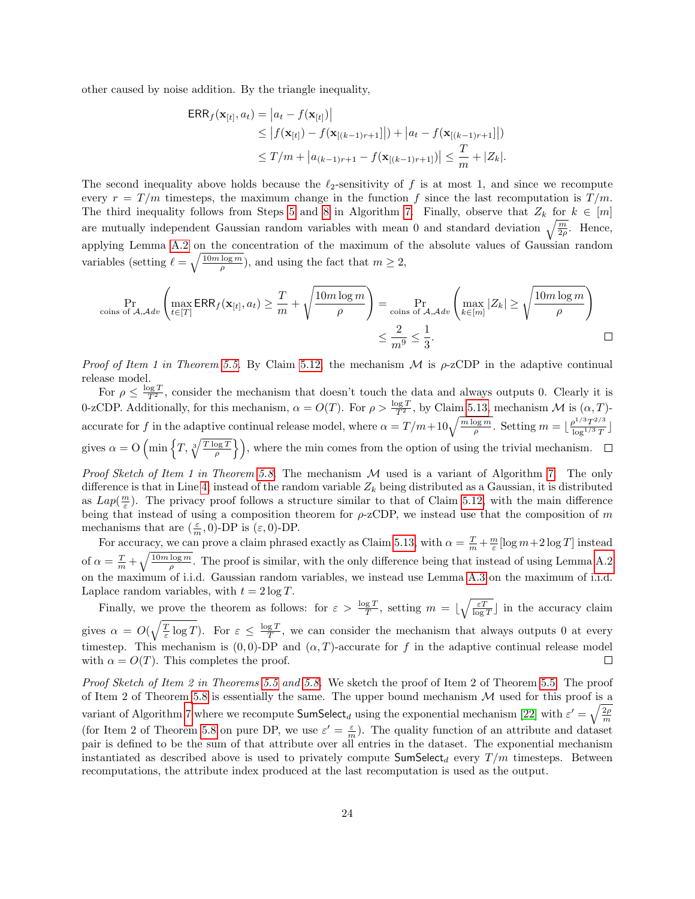other caused by noise addition. By the triangle inequality,

$$
\begin{aligned} \textsf{ERR}_f(\mathbf{x}_{[t]}, a_t) &= \left| a_t - f(\mathbf{x}_{[t]}) \right| \\ &\le \left| f(\mathbf{x}_{[t]}) - f(\mathbf{x}_{[(k-1)r+1]}) \right| + \left| a_t - f(\mathbf{x}_{[(k-1)r+1]}) \right| \\ &\le T/m + \left| a_{(k-1)r+1} - f(\mathbf{x}_{[(k-1)r+1]}) \right| \le \frac{T}{m} + |Z_k|. \end{aligned}
$$

The second inequality above holds because the  $\ell_2$ -sensitivity of f is at most 1, and since we recompute every  $r = T/m$  timesteps, the maximum change in the function f since the last recomputation is  $T/m$ . The third inequality follows from Steps [5](#page-9-6) and [8](#page-15-4) in Algorithm [7.](#page-21-1) Finally, observe that  $Z_k$  for  $k \in [m]$ are mutually independent Gaussian random variables with mean 0 and standard deviation  $\sqrt{\frac{m}{2\rho}}$ . Hence, applying Lemma [A.2](#page-27-1) on the concentration of the maximum of the absolute values of Gaussian random variables (setting  $\ell = \sqrt{\frac{10m \log m}{\rho}}$ ), and using the fact that  $m \geq 2$ ,

$$
\Pr_{\text{coins of }A, Adv} \left( \max_{t \in [T]} \text{ERR}_f(\mathbf{x}_{[t]}, a_t) \ge \frac{T}{m} + \sqrt{\frac{10m \log m}{\rho}} \right) = \Pr_{\text{coins of }A, Adv} \left( \max_{k \in [m]} |Z_k| \ge \sqrt{\frac{10m \log m}{\rho}} \right) \le \frac{2}{m^9} \le \frac{1}{3}.
$$

*Proof of Item 1 in Theorem [5.5.](#page-15-2)* By Claim [5.12,](#page-21-3) the mechanism  $\mathcal M$  is  $\rho$ -zCDP in the adaptive continual release model.

For  $\rho \leq \frac{\log T}{T^2}$ , consider the mechanism that doesn't touch the data and always outputs 0. Clearly it is 0-zCDP. Additionally, for this mechanism,  $\alpha = O(T)$ . For  $\rho > \frac{\log T}{T^2}$ , by Claim [5.13,](#page-22-1) mechanism M is  $(\alpha, T)$ accurate for f in the adaptive continual release model, where  $\alpha = T/m + 10\sqrt{\frac{m \log m}{\rho}}$ . Setting  $m = \lfloor \frac{\rho^{1/3} T^{2/3}}{\log^{1/3} T} \rfloor$  $\frac{\log^{1/3}T}{\log^{1/3}T}\Big]$ gives  $\alpha = O\left(\min\left\{T, \sqrt[3]{\frac{T\log T}{\rho}}\right\}\right)$ , where the min comes from the option of using the trivial mechanism.

Proof Sketch of Item 1 in Theorem [5.8.](#page-16-4) The mechanism  $M$  used is a variant of Algorithm [7.](#page-21-1) The only difference is that in Line [4,](#page-9-7) instead of the random variable  $Z_k$  being distributed as a Gaussian, it is distributed as  $Lap(\frac{m}{\varepsilon})$ . The privacy proof follows a structure similar to that of Claim [5.12,](#page-21-3) with the main difference being that instead of using a composition theorem for  $\rho$ -zCDP, we instead use that the composition of m mechanisms that are  $(\frac{\varepsilon}{m}, 0)$ -DP is  $(\varepsilon, 0)$ -DP.

For accuracy, we can prove a claim phrased exactly as Claim [5.13,](#page-22-1) with  $\alpha = \frac{T}{m} + \frac{m}{\varepsilon} [\log m + 2 \log T]$  instead of  $\alpha = \frac{T}{m} + \sqrt{\frac{10m \log m}{\rho}}$ . The proof is similar, with the only difference being that instead of using Lemma [A.2](#page-27-1) on the maximum of i.i.d. Gaussian random variables, we instead use Lemma [A.3](#page-27-2) on the maximum of i.i.d. Laplace random variables, with  $t = 2 \log T$ .

Finally, we prove the theorem as follows: for  $\varepsilon > \frac{\log T}{T}$ , setting  $m = \lfloor \sqrt{\frac{\varepsilon T}{\log T}} \rfloor$  in the accuracy claim gives  $\alpha = O(\sqrt{\frac{T}{\varepsilon} \log T})$ . For  $\varepsilon \leq \frac{\log T}{T}$ , we can consider the mechanism that always outputs 0 at every timestep. This mechanism is  $(0, 0)$ -DP and  $(\alpha, T)$ -accurate for f in the adaptive continual release model with  $\alpha = O(T)$ . This completes the proof.  $\Box$ 

Proof Sketch of Item 2 in Theorems [5.5](#page-15-2) and [5.8.](#page-16-4) We sketch the proof of Item 2 of Theorem [5.5.](#page-15-2) The proof of Item 2 of Theorem [5.8](#page-16-4) is essentially the same. The upper bound mechanism  $M$  used for this proof is a variant of Algorithm [7](#page-21-1) where we recompute  $\textsf{SumSelect}_d$  using the exponential mechanism [\[22\]](#page-26-1) with  $\varepsilon' = \sqrt{\frac{2\rho}{m}}$ (for Item 2 of Theorem [5.8](#page-16-4) on pure DP, we use  $\varepsilon' = \frac{\varepsilon}{m}$ ). The quality function of an attribute and dataset pair is defined to be the sum of that attribute over all entries in the dataset. The exponential mechanism instantiated as described above is used to privately compute  $SumSelect_d$  every  $T/m$  timesteps. Between recomputations, the attribute index produced at the last recomputation is used as the output.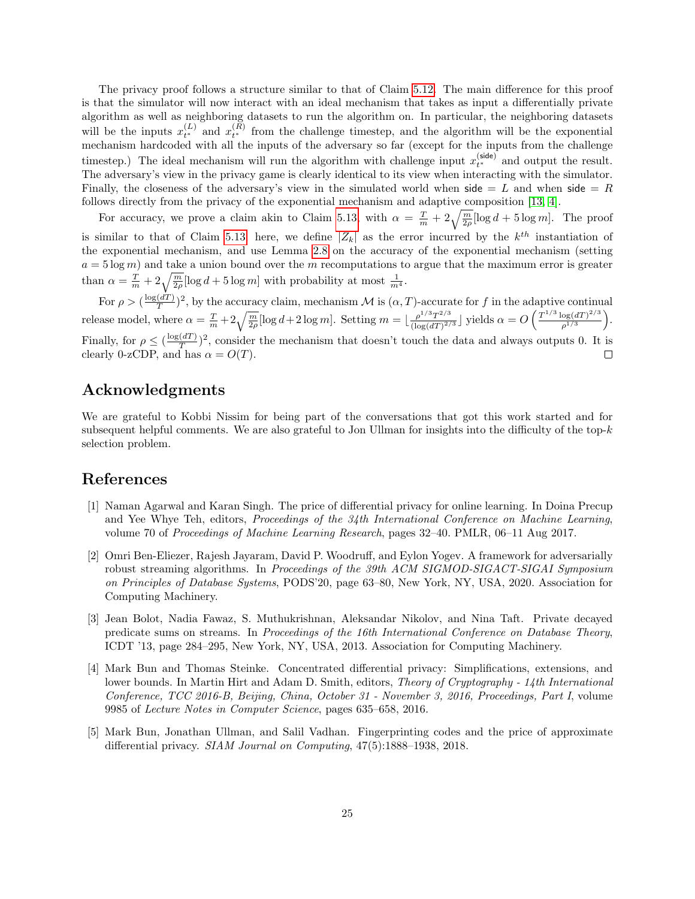The privacy proof follows a structure similar to that of Claim [5.12.](#page-21-3) The main difference for this proof is that the simulator will now interact with an ideal mechanism that takes as input a differentially private algorithm as well as neighboring datasets to run the algorithm on. In particular, the neighboring datasets will be the inputs  $x_{t^*}^{(L)}$  and  $x_{t^*}^{(R)}$  from the challenge timestep, and the algorithm will be the exponential mechanism hardcoded with all the inputs of the adversary so far (except for the inputs from the challenge timestep.) The ideal mechanism will run the algorithm with challenge input  $x_{t^*}^{(\text{side})}$  and output the result. The adversary's view in the privacy game is clearly identical to its view when interacting with the simulator. Finally, the closeness of the adversary's view in the simulated world when side = L and when side = R follows directly from the privacy of the exponential mechanism and adaptive composition [\[13,](#page-25-12) [4\]](#page-24-4).

For accuracy, we prove a claim akin to Claim [5.13,](#page-22-1) with  $\alpha = \frac{T}{m} + 2\sqrt{\frac{m}{2\rho}}[\log d + 5 \log m]$ . The proof is similar to that of Claim [5.13;](#page-22-1) here, we define  $|Z_k|$  as the error incurred by the  $k^{th}$  instantiation of the exponential mechanism, and use Lemma [2.8](#page-5-3) on the accuracy of the exponential mechanism (setting  $a = 5 \log m$ ) and take a union bound over the m recomputations to argue that the maximum error is greater than  $\alpha = \frac{T}{m} + 2\sqrt{\frac{m}{2\rho}}[\log d + 5\log m]$  with probability at most  $\frac{1}{m^4}$ .

For  $\rho > (\frac{\log(dT)}{T})$  $\frac{(dT)}{T}$ )<sup>2</sup>, by the accuracy claim, mechanism M is  $(\alpha, T)$ -accurate for f in the adaptive continual release model, where  $\alpha = \frac{T}{m} + 2\sqrt{\frac{m}{2\rho}}[\log d + 2\log m]$ . Setting  $m = \lfloor \frac{\rho^{1/3}T^{2/3}}{(\log(dT)^{2\rho})} \rfloor$  $\frac{\rho^{1/3} T^{2/3}}{(\log(dT)^{2/3}}$  yields  $\alpha = O\left(\frac{T^{1/3} \log(dT)^{2/3}}{\rho^{1/3}}\right)$  $\frac{\log(dT)^{2/3}}{\rho^{1/3}}\bigg).$ Finally, for  $\rho \leq (\frac{\log(dT)}{T})$  $\frac{d(T)}{T}$ )<sup>2</sup>, consider the mechanism that doesn't touch the data and always outputs 0. It is clearly 0-zCDP, and has  $\alpha = O(T)$ .  $\Box$ 

### <span id="page-24-0"></span>Acknowledgments

We are grateful to Kobbi Nissim for being part of the conversations that got this work started and for subsequent helpful comments. We are also grateful to Jon Ullman for insights into the difficulty of the top- $k$ selection problem.

### References

- <span id="page-24-3"></span>[1] Naman Agarwal and Karan Singh. The price of differential privacy for online learning. In Doina Precup and Yee Whye Teh, editors, *Proceedings of the 34th International Conference on Machine Learning*, volume 70 of Proceedings of Machine Learning Research, pages 32–40. PMLR, 06–11 Aug 2017.
- <span id="page-24-5"></span>[2] Omri Ben-Eliezer, Rajesh Jayaram, David P. Woodruff, and Eylon Yogev. A framework for adversarially robust streaming algorithms. In Proceedings of the 39th ACM SIGMOD-SIGACT-SIGAI Symposium on Principles of Database Systems, PODS'20, page 63–80, New York, NY, USA, 2020. Association for Computing Machinery.
- <span id="page-24-2"></span>[3] Jean Bolot, Nadia Fawaz, S. Muthukrishnan, Aleksandar Nikolov, and Nina Taft. Private decayed predicate sums on streams. In Proceedings of the 16th International Conference on Database Theory, ICDT '13, page 284–295, New York, NY, USA, 2013. Association for Computing Machinery.
- <span id="page-24-4"></span>[4] Mark Bun and Thomas Steinke. Concentrated differential privacy: Simplifications, extensions, and lower bounds. In Martin Hirt and Adam D. Smith, editors, *Theory of Cryptography - 14th International* Conference, TCC 2016-B, Beijing, China, October 31 - November 3, 2016, Proceedings, Part I, volume 9985 of Lecture Notes in Computer Science, pages 635–658, 2016.
- <span id="page-24-1"></span>[5] Mark Bun, Jonathan Ullman, and Salil Vadhan. Fingerprinting codes and the price of approximate differential privacy. SIAM Journal on Computing, 47(5):1888–1938, 2018.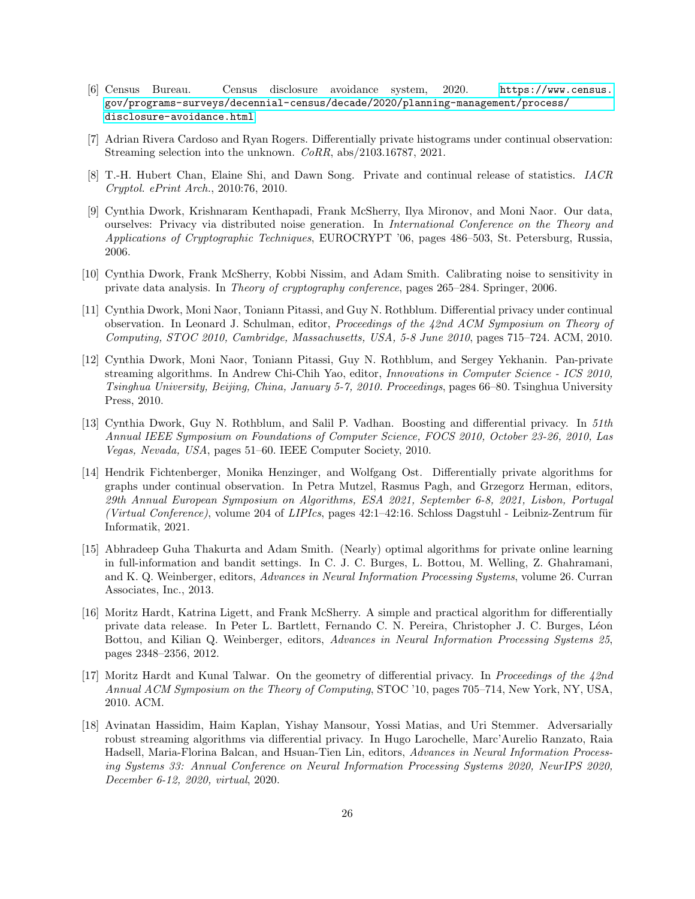- <span id="page-25-1"></span>[6] Census Bureau. Census disclosure avoidance system, 2020. [https://www.census.](https://www.census.gov/programs-surveys/decennial-census/decade/2020/planning-management/process/disclosure-avoidance.html) [gov/programs-surveys/decennial-census/decade/2020/planning-management/process/](https://www.census.gov/programs-surveys/decennial-census/decade/2020/planning-management/process/disclosure-avoidance.html) [disclosure-avoidance.html](https://www.census.gov/programs-surveys/decennial-census/decade/2020/planning-management/process/disclosure-avoidance.html).
- <span id="page-25-8"></span>[7] Adrian Rivera Cardoso and Ryan Rogers. Differentially private histograms under continual observation: Streaming selection into the unknown. CoRR, abs/2103.16787, 2021.
- <span id="page-25-3"></span>[8] T.-H. Hubert Chan, Elaine Shi, and Dawn Song. Private and continual release of statistics. IACR Cryptol. ePrint Arch., 2010:76, 2010.
- <span id="page-25-10"></span>[9] Cynthia Dwork, Krishnaram Kenthapadi, Frank McSherry, Ilya Mironov, and Moni Naor. Our data, ourselves: Privacy via distributed noise generation. In International Conference on the Theory and Applications of Cryptographic Techniques, EUROCRYPT '06, pages 486–503, St. Petersburg, Russia, 2006.
- <span id="page-25-0"></span>[10] Cynthia Dwork, Frank McSherry, Kobbi Nissim, and Adam Smith. Calibrating noise to sensitivity in private data analysis. In Theory of cryptography conference, pages 265–284. Springer, 2006.
- <span id="page-25-2"></span>[11] Cynthia Dwork, Moni Naor, Toniann Pitassi, and Guy N. Rothblum. Differential privacy under continual observation. In Leonard J. Schulman, editor, Proceedings of the 42nd ACM Symposium on Theory of Computing, STOC 2010, Cambridge, Massachusetts, USA, 5-8 June 2010, pages 715–724. ACM, 2010.
- <span id="page-25-9"></span>[12] Cynthia Dwork, Moni Naor, Toniann Pitassi, Guy N. Rothblum, and Sergey Yekhanin. Pan-private streaming algorithms. In Andrew Chi-Chih Yao, editor, Innovations in Computer Science - ICS 2010, Tsinghua University, Beijing, China, January 5-7, 2010. Proceedings, pages 66–80. Tsinghua University Press, 2010.
- <span id="page-25-12"></span>[13] Cynthia Dwork, Guy N. Rothblum, and Salil P. Vadhan. Boosting and differential privacy. In 51th Annual IEEE Symposium on Foundations of Computer Science, FOCS 2010, October 23-26, 2010, Las Vegas, Nevada, USA, pages 51–60. IEEE Computer Society, 2010.
- <span id="page-25-6"></span>[14] Hendrik Fichtenberger, Monika Henzinger, and Wolfgang Ost. Differentially private algorithms for graphs under continual observation. In Petra Mutzel, Rasmus Pagh, and Grzegorz Herman, editors, 29th Annual European Symposium on Algorithms, ESA 2021, September 6-8, 2021, Lisbon, Portugal (Virtual Conference), volume 204 of LIPIcs, pages  $42:1-42:16$ . Schloss Dagstuhl - Leibniz-Zentrum für Informatik, 2021.
- <span id="page-25-7"></span>[15] Abhradeep Guha Thakurta and Adam Smith. (Nearly) optimal algorithms for private online learning in full-information and bandit settings. In C. J. C. Burges, L. Bottou, M. Welling, Z. Ghahramani, and K. Q. Weinberger, editors, Advances in Neural Information Processing Systems, volume 26. Curran Associates, Inc., 2013.
- <span id="page-25-4"></span>[16] Moritz Hardt, Katrina Ligett, and Frank McSherry. A simple and practical algorithm for differentially private data release. In Peter L. Bartlett, Fernando C. N. Pereira, Christopher J. C. Burges, L´eon Bottou, and Kilian Q. Weinberger, editors, Advances in Neural Information Processing Systems 25, pages 2348–2356, 2012.
- <span id="page-25-5"></span>[17] Moritz Hardt and Kunal Talwar. On the geometry of differential privacy. In Proceedings of the 42nd Annual ACM Symposium on the Theory of Computing, STOC '10, pages 705–714, New York, NY, USA, 2010. ACM.
- <span id="page-25-11"></span>[18] Avinatan Hassidim, Haim Kaplan, Yishay Mansour, Yossi Matias, and Uri Stemmer. Adversarially robust streaming algorithms via differential privacy. In Hugo Larochelle, Marc'Aurelio Ranzato, Raia Hadsell, Maria-Florina Balcan, and Hsuan-Tien Lin, editors, Advances in Neural Information Processing Systems 33: Annual Conference on Neural Information Processing Systems 2020, NeurIPS 2020, December 6-12, 2020, virtual, 2020.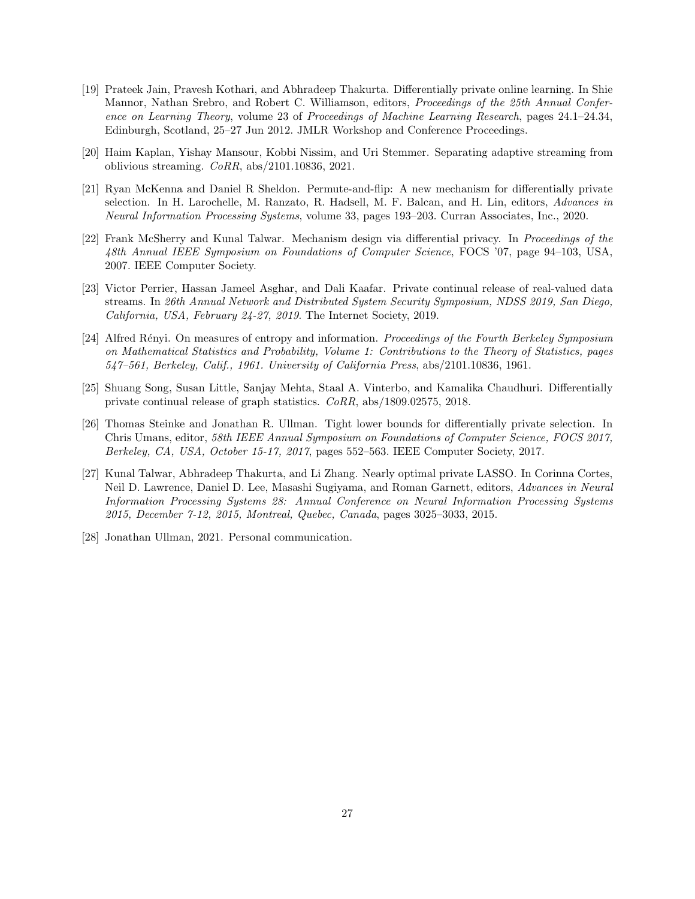- <span id="page-26-5"></span>[19] Prateek Jain, Pravesh Kothari, and Abhradeep Thakurta. Differentially private online learning. In Shie Mannor, Nathan Srebro, and Robert C. Williamson, editors, Proceedings of the 25th Annual Conference on Learning Theory, volume 23 of Proceedings of Machine Learning Research, pages 24.1–24.34, Edinburgh, Scotland, 25–27 Jun 2012. JMLR Workshop and Conference Proceedings.
- <span id="page-26-8"></span>[20] Haim Kaplan, Yishay Mansour, Kobbi Nissim, and Uri Stemmer. Separating adaptive streaming from oblivious streaming. CoRR, abs/2101.10836, 2021.
- <span id="page-26-9"></span>[21] Ryan McKenna and Daniel R Sheldon. Permute-and-flip: A new mechanism for differentially private selection. In H. Larochelle, M. Ranzato, R. Hadsell, M. F. Balcan, and H. Lin, editors, Advances in Neural Information Processing Systems, volume 33, pages 193–203. Curran Associates, Inc., 2020.
- <span id="page-26-1"></span>[22] Frank McSherry and Kunal Talwar. Mechanism design via differential privacy. In Proceedings of the 48th Annual IEEE Symposium on Foundations of Computer Science, FOCS '07, page 94–103, USA, 2007. IEEE Computer Society.
- <span id="page-26-3"></span>[23] Victor Perrier, Hassan Jameel Asghar, and Dali Kaafar. Private continual release of real-valued data streams. In 26th Annual Network and Distributed System Security Symposium, NDSS 2019, San Diego, California, USA, February 24-27, 2019. The Internet Society, 2019.
- <span id="page-26-6"></span>[24] Alfred Rényi. On measures of entropy and information. Proceedings of the Fourth Berkeley Symposium on Mathematical Statistics and Probability, Volume 1: Contributions to the Theory of Statistics, pages 547–561, Berkeley, Calif., 1961. University of California Press, abs/2101.10836, 1961.
- <span id="page-26-4"></span>[25] Shuang Song, Susan Little, Sanjay Mehta, Staal A. Vinterbo, and Kamalika Chaudhuri. Differentially private continual release of graph statistics. CoRR, abs/1809.02575, 2018.
- <span id="page-26-2"></span>[26] Thomas Steinke and Jonathan R. Ullman. Tight lower bounds for differentially private selection. In Chris Umans, editor, 58th IEEE Annual Symposium on Foundations of Computer Science, FOCS 2017, Berkeley, CA, USA, October 15-17, 2017, pages 552–563. IEEE Computer Society, 2017.
- <span id="page-26-0"></span>[27] Kunal Talwar, Abhradeep Thakurta, and Li Zhang. Nearly optimal private LASSO. In Corinna Cortes, Neil D. Lawrence, Daniel D. Lee, Masashi Sugiyama, and Roman Garnett, editors, Advances in Neural Information Processing Systems 28: Annual Conference on Neural Information Processing Systems 2015, December 7-12, 2015, Montreal, Quebec, Canada, pages 3025–3033, 2015.
- <span id="page-26-7"></span>[28] Jonathan Ullman, 2021. Personal communication.